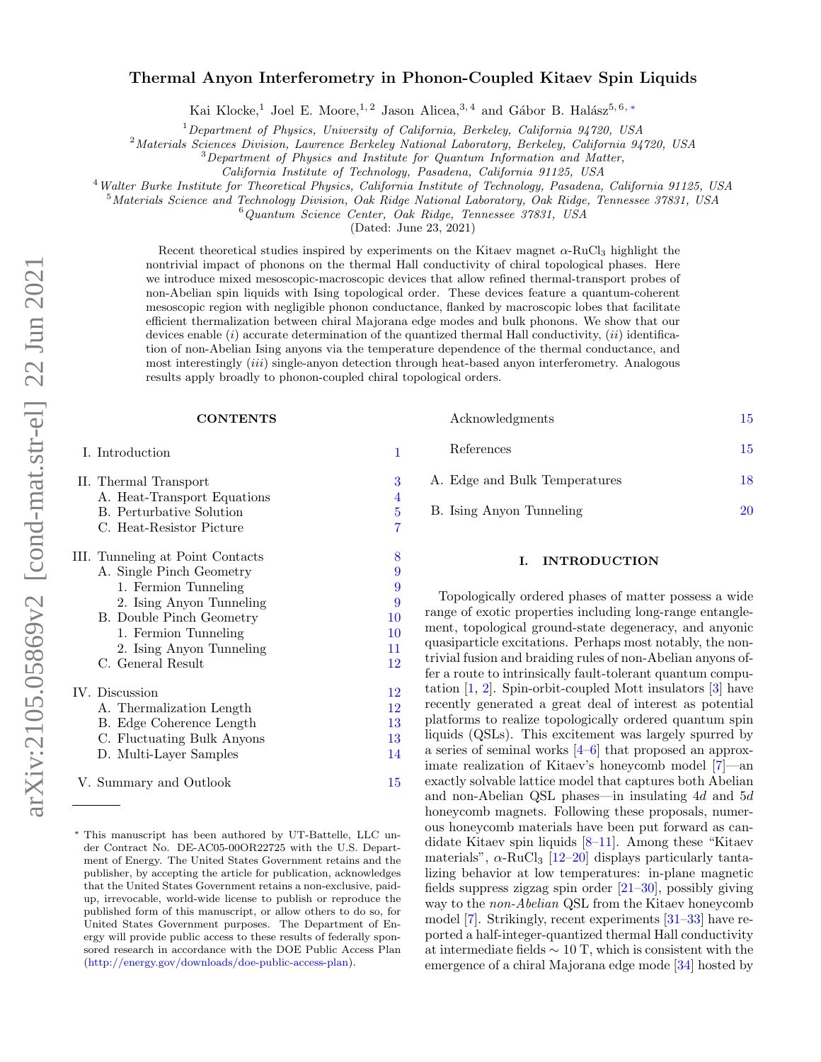# $arXiv:2105.05869v2$  [cond-mat.str-el] 22 Jun 2021 arXiv:2105.05869v2 [cond-mat.str-el] 22 Jun 2021

# Thermal Anyon Interferometry in Phonon-Coupled Kitaev Spin Liquids

Kai Klocke,<sup>1</sup> Joel E. Moore,<sup>1,2</sup> Jason Alicea,<sup>3,4</sup> and Gábor B. Halász<sup>5,6, [∗](#page-0-0)</sup>

 $1$ Department of Physics, University of California, Berkeley, California 94720, USA

<sup>2</sup>Materials Sciences Division, Lawrence Berkeley National Laboratory, Berkeley, California 94720, USA

<sup>3</sup>Department of Physics and Institute for Quantum Information and Matter,

California Institute of Technology, Pasadena, California 91125, USA

<sup>4</sup>Walter Burke Institute for Theoretical Physics, California Institute of Technology, Pasadena, California 91125, USA

 $5$ Materials Science and Technology Division, Oak Ridge National Laboratory, Oak Ridge, Tennessee 37831, USA

<sup>6</sup>Quantum Science Center, Oak Ridge, Tennessee 37831, USA

(Dated: June 23, 2021)

Recent theoretical studies inspired by experiments on the Kitaev magnet  $\alpha$ -RuCl<sub>3</sub> highlight the nontrivial impact of phonons on the thermal Hall conductivity of chiral topological phases. Here we introduce mixed mesoscopic-macroscopic devices that allow refined thermal-transport probes of non-Abelian spin liquids with Ising topological order. These devices feature a quantum-coherent mesoscopic region with negligible phonon conductance, flanked by macroscopic lobes that facilitate efficient thermalization between chiral Majorana edge modes and bulk phonons. We show that our devices enable  $(i)$  accurate determination of the quantized thermal Hall conductivity,  $(ii)$  identification of non-Abelian Ising anyons via the temperature dependence of the thermal conductance, and most interestingly  $(iii)$  single-anyon detection through heat-based anyon interferometry. Analogous results apply broadly to phonon-coupled chiral topological orders.

# **CONTENTS**

### I. Introduction [1](#page-0-1)

|  | II. Thermal Transport            | 3  |
|--|----------------------------------|----|
|  | A. Heat-Transport Equations      | 4  |
|  | <b>B.</b> Perturbative Solution  | 5  |
|  | C. Heat-Resistor Picture         | 7  |
|  | III. Tunneling at Point Contacts | 8  |
|  | A. Single Pinch Geometry         | 9  |
|  | 1. Fermion Tunneling             | 9  |
|  | 2. Ising Anyon Tunneling         | 9  |
|  | B. Double Pinch Geometry         | 10 |
|  | 1. Fermion Tunneling             | 10 |
|  | 2. Ising Anyon Tunneling         | 11 |
|  | C. General Result                | 12 |
|  | IV. Discussion                   | 12 |
|  | A. Thermalization Length         | 12 |
|  | B. Edge Coherence Length         | 13 |
|  | C. Fluctuating Bulk Anyons       | 13 |
|  | D. Multi-Layer Samples           | 14 |
|  | V. Summary and Outlook           | 15 |

| Acknowledgments               | 15. |
|-------------------------------|-----|
| References                    | 15. |
| A. Edge and Bulk Temperatures | 18  |
| B. Ising Anyon Tunneling      | 20  |

## <span id="page-0-1"></span>I. INTRODUCTION

Topologically ordered phases of matter possess a wide range of exotic properties including long-range entanglement, topological ground-state degeneracy, and anyonic quasiparticle excitations. Perhaps most notably, the nontrivial fusion and braiding rules of non-Abelian anyons offer a route to intrinsically fault-tolerant quantum computation [\[1,](#page-14-3) [2\]](#page-14-4). Spin-orbit-coupled Mott insulators [\[3\]](#page-14-5) have recently generated a great deal of interest as potential platforms to realize topologically ordered quantum spin liquids (QSLs). This excitement was largely spurred by a series of seminal works [\[4](#page-14-6)[–6\]](#page-14-7) that proposed an approximate realization of Kitaev's honeycomb model [\[7\]](#page-14-8)—an exactly solvable lattice model that captures both Abelian and non-Abelian QSL phases—in insulating 4d and 5d honeycomb magnets. Following these proposals, numerous honeycomb materials have been put forward as candidate Kitaev spin liquids [\[8–](#page-15-0)[11\]](#page-15-1). Among these "Kitaev materials",  $\alpha$ -RuCl<sub>3</sub> [\[12–](#page-15-2)[20\]](#page-15-3) displays particularly tantalizing behavior at low temperatures: in-plane magnetic fields suppress zigzag spin order [\[21](#page-15-4)[–30\]](#page-15-5), possibly giving way to the non-Abelian QSL from the Kitaev honeycomb model [\[7\]](#page-14-8). Strikingly, recent experiments [\[31–](#page-15-6)[33\]](#page-15-7) have reported a half-integer-quantized thermal Hall conductivity at intermediate fields  $\sim 10$  T, which is consistent with the emergence of a chiral Majorana edge mode [\[34\]](#page-15-8) hosted by

<span id="page-0-0"></span><sup>∗</sup> This manuscript has been authored by UT-Battelle, LLC under Contract No. DE-AC05-00OR22725 with the U.S. Department of Energy. The United States Government retains and the publisher, by accepting the article for publication, acknowledges that the United States Government retains a non-exclusive, paidup, irrevocable, world-wide license to publish or reproduce the published form of this manuscript, or allow others to do so, for United States Government purposes. The Department of Energy will provide public access to these results of federally sponsored research in accordance with the DOE Public Access Plan [\(http://energy.gov/downloads/doe-public-access-plan\)](http://energy.gov/downloads/doe-public-access-plan).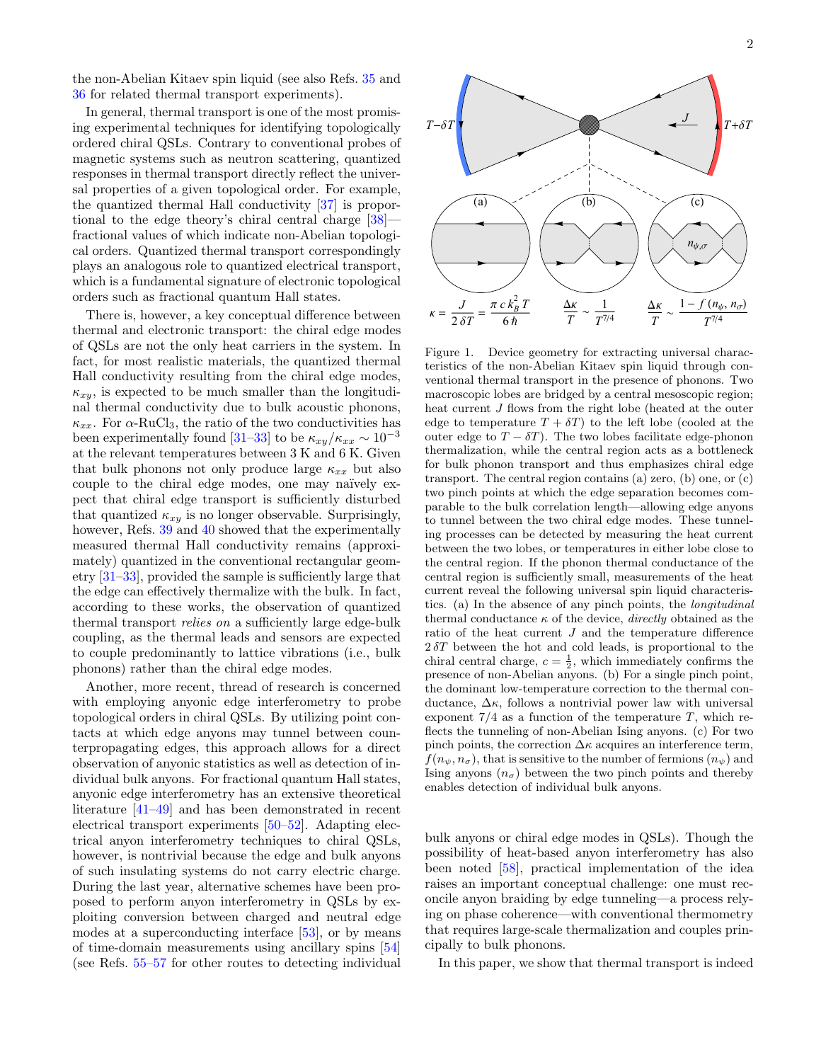the non-Abelian Kitaev spin liquid (see also Refs. [35](#page-15-9) and [36](#page-16-0) for related thermal transport experiments).

In general, thermal transport is one of the most promising experimental techniques for identifying topologically ordered chiral QSLs. Contrary to conventional probes of magnetic systems such as neutron scattering, quantized responses in thermal transport directly reflect the universal properties of a given topological order. For example, the quantized thermal Hall conductivity [\[37\]](#page-16-1) is proportional to the edge theory's chiral central charge [\[38\]](#page-16-2) fractional values of which indicate non-Abelian topological orders. Quantized thermal transport correspondingly plays an analogous role to quantized electrical transport, which is a fundamental signature of electronic topological orders such as fractional quantum Hall states.

There is, however, a key conceptual difference between thermal and electronic transport: the chiral edge modes of QSLs are not the only heat carriers in the system. In fact, for most realistic materials, the quantized thermal Hall conductivity resulting from the chiral edge modes,  $\kappa_{xy}$ , is expected to be much smaller than the longitudinal thermal conductivity due to bulk acoustic phonons,  $\kappa_{xx}$ . For  $\alpha$ -RuCl<sub>3</sub>, the ratio of the two conductivities has been experimentally found [\[31](#page-15-6)[–33\]](#page-15-7) to be  $\kappa_{xy}/\kappa_{xx} \sim 10^{-3}$ at the relevant temperatures between 3 K and 6 K. Given that bulk phonons not only produce large  $\kappa_{xx}$  but also couple to the chiral edge modes, one may naïvely expect that chiral edge transport is sufficiently disturbed that quantized  $\kappa_{xy}$  is no longer observable. Surprisingly, however, Refs. [39](#page-16-3) and [40](#page-16-4) showed that the experimentally measured thermal Hall conductivity remains (approximately) quantized in the conventional rectangular geometry [\[31–](#page-15-6)[33\]](#page-15-7), provided the sample is sufficiently large that the edge can effectively thermalize with the bulk. In fact, according to these works, the observation of quantized thermal transport relies on a sufficiently large edge-bulk coupling, as the thermal leads and sensors are expected to couple predominantly to lattice vibrations (i.e., bulk phonons) rather than the chiral edge modes.

Another, more recent, thread of research is concerned with employing anyonic edge interferometry to probe topological orders in chiral QSLs. By utilizing point contacts at which edge anyons may tunnel between counterpropagating edges, this approach allows for a direct observation of anyonic statistics as well as detection of individual bulk anyons. For fractional quantum Hall states, anyonic edge interferometry has an extensive theoretical literature [\[41](#page-16-5)[–49\]](#page-16-6) and has been demonstrated in recent electrical transport experiments [\[50–](#page-16-7)[52\]](#page-16-8). Adapting electrical anyon interferometry techniques to chiral QSLs, however, is nontrivial because the edge and bulk anyons of such insulating systems do not carry electric charge. During the last year, alternative schemes have been proposed to perform anyon interferometry in QSLs by exploiting conversion between charged and neutral edge modes at a superconducting interface [\[53\]](#page-16-9), or by means of time-domain measurements using ancillary spins [\[54\]](#page-16-10) (see Refs. [55](#page-16-11)[–57](#page-16-12) for other routes to detecting individual



<span id="page-1-0"></span>Figure 1. Device geometry for extracting universal characteristics of the non-Abelian Kitaev spin liquid through conventional thermal transport in the presence of phonons. Two macroscopic lobes are bridged by a central mesoscopic region; heat current J flows from the right lobe (heated at the outer edge to temperature  $T + \delta T$  to the left lobe (cooled at the outer edge to  $T - \delta T$ ). The two lobes facilitate edge-phonon thermalization, while the central region acts as a bottleneck for bulk phonon transport and thus emphasizes chiral edge transport. The central region contains (a) zero, (b) one, or (c) two pinch points at which the edge separation becomes comparable to the bulk correlation length—allowing edge anyons to tunnel between the two chiral edge modes. These tunneling processes can be detected by measuring the heat current between the two lobes, or temperatures in either lobe close to the central region. If the phonon thermal conductance of the central region is sufficiently small, measurements of the heat current reveal the following universal spin liquid characteristics. (a) In the absence of any pinch points, the longitudinal thermal conductance  $\kappa$  of the device, *directly* obtained as the ratio of the heat current J and the temperature difference  $2\delta T$  between the hot and cold leads, is proportional to the chiral central charge,  $c = \frac{1}{2}$ , which immediately confirms the presence of non-Abelian anyons. (b) For a single pinch point, the dominant low-temperature correction to the thermal conductance,  $\Delta \kappa$ , follows a nontrivial power law with universal exponent  $7/4$  as a function of the temperature T, which reflects the tunneling of non-Abelian Ising anyons. (c) For two pinch points, the correction  $\Delta \kappa$  acquires an interference term,  $f(n_{\psi}, n_{\sigma})$ , that is sensitive to the number of fermions  $(n_{\psi})$  and Ising anyons  $(n_{\sigma})$  between the two pinch points and thereby enables detection of individual bulk anyons.

bulk anyons or chiral edge modes in QSLs). Though the possibility of heat-based anyon interferometry has also been noted [\[58\]](#page-16-13), practical implementation of the idea raises an important conceptual challenge: one must reconcile anyon braiding by edge tunneling—a process relying on phase coherence—with conventional thermometry that requires large-scale thermalization and couples principally to bulk phonons.

In this paper, we show that thermal transport is indeed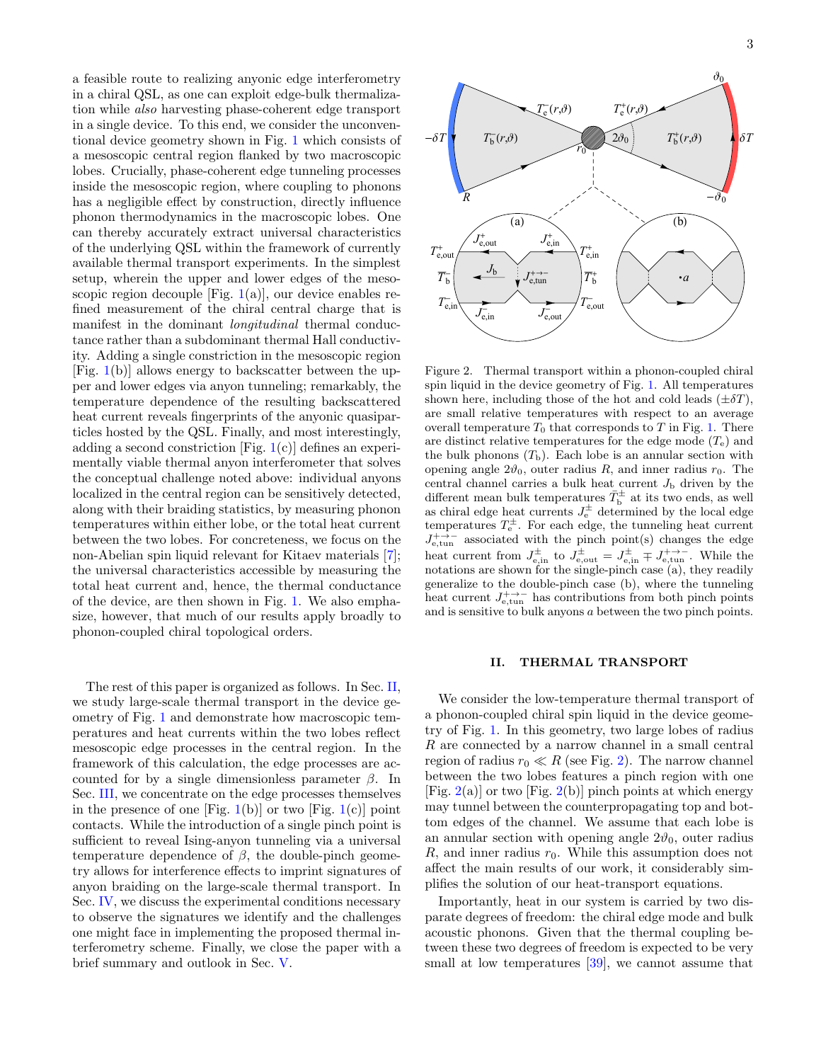a feasible route to realizing anyonic edge interferometry in a chiral QSL, as one can exploit edge-bulk thermalization while also harvesting phase-coherent edge transport in a single device. To this end, we consider the unconventional device geometry shown in Fig. [1](#page-1-0) which consists of a mesoscopic central region flanked by two macroscopic lobes. Crucially, phase-coherent edge tunneling processes inside the mesoscopic region, where coupling to phonons has a negligible effect by construction, directly influence phonon thermodynamics in the macroscopic lobes. One can thereby accurately extract universal characteristics of the underlying QSL within the framework of currently available thermal transport experiments. In the simplest setup, wherein the upper and lower edges of the mesoscopic region decouple [Fig.  $1(a)$  $1(a)$ ], our device enables refined measurement of the chiral central charge that is manifest in the dominant *longitudinal* thermal conductance rather than a subdominant thermal Hall conductivity. Adding a single constriction in the mesoscopic region [Fig.  $1(b)$  $1(b)$ ] allows energy to backscatter between the upper and lower edges via anyon tunneling; remarkably, the temperature dependence of the resulting backscattered heat current reveals fingerprints of the anyonic quasiparticles hosted by the QSL. Finally, and most interestingly, adding a second constriction [Fig. [1\(](#page-1-0)c)] defines an experimentally viable thermal anyon interferometer that solves the conceptual challenge noted above: individual anyons localized in the central region can be sensitively detected, along with their braiding statistics, by measuring phonon temperatures within either lobe, or the total heat current between the two lobes. For concreteness, we focus on the non-Abelian spin liquid relevant for Kitaev materials [\[7\]](#page-14-8); the universal characteristics accessible by measuring the total heat current and, hence, the thermal conductance of the device, are then shown in Fig. [1.](#page-1-0) We also emphasize, however, that much of our results apply broadly to phonon-coupled chiral topological orders.

The rest of this paper is organized as follows. In Sec. [II,](#page-2-0) we study large-scale thermal transport in the device geometry of Fig. [1](#page-1-0) and demonstrate how macroscopic temperatures and heat currents within the two lobes reflect mesoscopic edge processes in the central region. In the framework of this calculation, the edge processes are accounted for by a single dimensionless parameter  $\beta$ . In Sec. [III,](#page-7-0) we concentrate on the edge processes themselves in the presence of one [Fig. [1\(](#page-1-0)b)] or two [Fig. 1(c)] point contacts. While the introduction of a single pinch point is sufficient to reveal Ising-anyon tunneling via a universal temperature dependence of  $\beta$ , the double-pinch geometry allows for interference effects to imprint signatures of anyon braiding on the large-scale thermal transport. In Sec. [IV,](#page-11-1) we discuss the experimental conditions necessary to observe the signatures we identify and the challenges one might face in implementing the proposed thermal interferometry scheme. Finally, we close the paper with a brief summary and outlook in Sec. [V.](#page-14-0)



 $\breve{R}$ 

 $\overline{T_\mathrm{b}}$ 

 $T_{\rm e,in}^{-1}$ 

<span id="page-2-1"></span> $J_{\rm e,in}^-$ 

 $T_{\text{e,out}}$  $\bar{J}_{\text{e,out}}$ 

 $T_{e,out}^+$ 

Figure 2. Thermal transport within a phonon-coupled chiral spin liquid in the device geometry of Fig. [1.](#page-1-0) All temperatures shown here, including those of the hot and cold leads  $(\pm \delta T)$ , are small relative temperatures with respect to an average overall temperature  $T_0$  that corresponds to  $T$  in Fig. [1.](#page-1-0) There are distinct relative temperatures for the edge mode  $(T_e)$  and the bulk phonons  $(T<sub>b</sub>)$ . Each lobe is an annular section with opening angle  $2\vartheta_0$ , outer radius R, and inner radius  $r_0$ . The central channel carries a bulk heat current  $J<sub>b</sub>$  driven by the different mean bulk temperatures  $\bar{T}_{\text{b}}^{\pm}$  at its two ends, as well as chiral edge heat currents  $J_e^{\pm}$  determined by the local edge temperatures  $T_e^{\pm}$ . For each edge, the tunneling heat current  $J_{e,\text{tun}}^{+\to-}$  associated with the pinch point(s) changes the edge heat current from  $J_{e,\text{in}}^{\pm}$  to  $J_{e,\text{out}}^{\pm} = J_{e,\text{in}}^{\pm} \mp J_{e,\text{tun}}^{+\rightarrow-}$ . While the notations are shown for the single-pinch case (a), they readily generalize to the double-pinch case (b), where the tunneling heat current  $J_{e,\text{tun}}^{+\rightarrow-}$  has contributions from both pinch points and is sensitive to bulk anyons a between the two pinch points.

## <span id="page-2-0"></span>II. THERMAL TRANSPORT

We consider the low-temperature thermal transport of a phonon-coupled chiral spin liquid in the device geometry of Fig. [1.](#page-1-0) In this geometry, two large lobes of radius  $R$  are connected by a narrow channel in a small central region of radius  $r_0 \ll R$  (see Fig. [2\)](#page-2-1). The narrow channel between the two lobes features a pinch region with one [Fig.  $2(a)$  $2(a)$ ] or two [Fig.  $2(b)$ ] pinch points at which energy may tunnel between the counterpropagating top and bottom edges of the channel. We assume that each lobe is an annular section with opening angle  $2\vartheta_0$ , outer radius R, and inner radius  $r_0$ . While this assumption does not affect the main results of our work, it considerably simplifies the solution of our heat-transport equations.

Importantly, heat in our system is carried by two disparate degrees of freedom: the chiral edge mode and bulk acoustic phonons. Given that the thermal coupling between these two degrees of freedom is expected to be very small at low temperatures [\[39\]](#page-16-3), we cannot assume that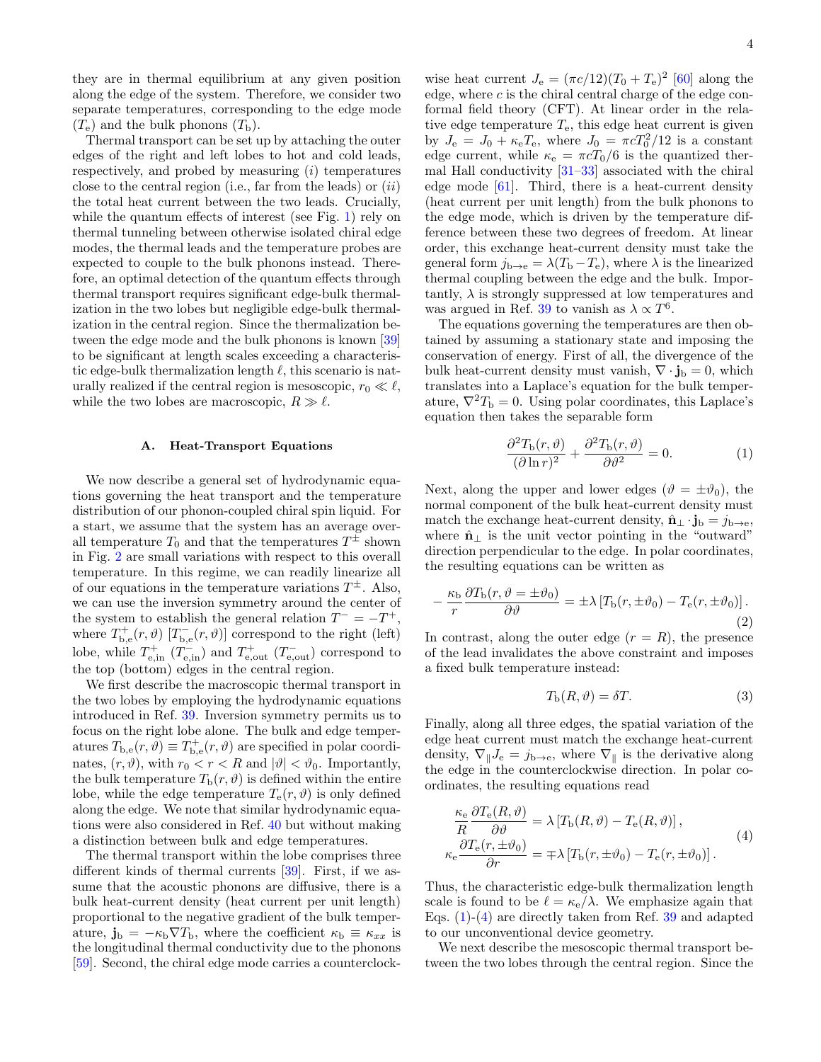they are in thermal equilibrium at any given position along the edge of the system. Therefore, we consider two separate temperatures, corresponding to the edge mode  $(T_e)$  and the bulk phonons  $(T_b)$ .

Thermal transport can be set up by attaching the outer edges of the right and left lobes to hot and cold leads, respectively, and probed by measuring  $(i)$  temperatures close to the central region (i.e., far from the leads) or  $(ii)$ the total heat current between the two leads. Crucially, while the quantum effects of interest (see Fig. [1\)](#page-1-0) rely on thermal tunneling between otherwise isolated chiral edge modes, the thermal leads and the temperature probes are expected to couple to the bulk phonons instead. Therefore, an optimal detection of the quantum effects through thermal transport requires significant edge-bulk thermalization in the two lobes but negligible edge-bulk thermalization in the central region. Since the thermalization between the edge mode and the bulk phonons is known [\[39\]](#page-16-3) to be significant at length scales exceeding a characteristic edge-bulk thermalization length  $\ell$ , this scenario is naturally realized if the central region is mesoscopic,  $r_0 \ll \ell$ , while the two lobes are macroscopic,  $R \gg \ell$ .

### <span id="page-3-0"></span>A. Heat-Transport Equations

We now describe a general set of hydrodynamic equations governing the heat transport and the temperature distribution of our phonon-coupled chiral spin liquid. For a start, we assume that the system has an average overall temperature  $T_0$  and that the temperatures  $T^{\pm}$  shown in Fig. [2](#page-2-1) are small variations with respect to this overall temperature. In this regime, we can readily linearize all of our equations in the temperature variations  $T^{\pm}$ . Also, we can use the inversion symmetry around the center of the system to establish the general relation  $T^- = -T^+$ , where  $T_{\mathbf{b},\mathbf{e}}^+(r,\vartheta)$  [ $T_{\mathbf{b},\mathbf{e}}^-(r,\vartheta)$ ] correspond to the right (left) lobe, while  $T_{e, \text{in}}^+$   $(T_{e, \text{in}}^-)$  and  $T_{e, \text{out}}^+$   $(T_{e, \text{out}}^-)$  correspond to the top (bottom) edges in the central region.

We first describe the macroscopic thermal transport in the two lobes by employing the hydrodynamic equations introduced in Ref. [39.](#page-16-3) Inversion symmetry permits us to focus on the right lobe alone. The bulk and edge temperatures  $T_{\text{b,e}}(r,\vartheta) \equiv T_{\text{b,e}}^+(r,\vartheta)$  are specified in polar coordinates,  $(r, \vartheta)$ , with  $r_0 < r < R$  and  $|\vartheta| < \vartheta_0$ . Importantly, the bulk temperature  $T_{\rm b}(r,\vartheta)$  is defined within the entire lobe, while the edge temperature  $T_e(r, \vartheta)$  is only defined along the edge. We note that similar hydrodynamic equations were also considered in Ref. [40](#page-16-4) but without making a distinction between bulk and edge temperatures.

The thermal transport within the lobe comprises three different kinds of thermal currents [\[39\]](#page-16-3). First, if we assume that the acoustic phonons are diffusive, there is a bulk heat-current density (heat current per unit length) proportional to the negative gradient of the bulk temperature,  $\mathbf{j}_b = -\kappa_b \nabla T_b$ , where the coefficient  $\kappa_b \equiv \kappa_{xx}$  is the longitudinal thermal conductivity due to the phonons [\[59\]](#page-16-14). Second, the chiral edge mode carries a counterclock-

wise heat current  $J_e = (\pi c/12)(T_0 + T_e)^2$  [\[60\]](#page-16-15) along the edge, where  $c$  is the chiral central charge of the edge conformal field theory (CFT). At linear order in the relative edge temperature  $T_{e}$ , this edge heat current is given by  $J_e = J_0 + \kappa_e T_e$ , where  $J_0 = \pi c T_0^2 / 12$  is a constant edge current, while  $\kappa_e = \pi cT_0/6$  is the quantized thermal Hall conductivity [\[31–](#page-15-6)[33\]](#page-15-7) associated with the chiral edge mode  $[61]$ . Third, there is a heat-current density (heat current per unit length) from the bulk phonons to the edge mode, which is driven by the temperature difference between these two degrees of freedom. At linear order, this exchange heat-current density must take the general form  $j_{b\rightarrow e} = \lambda (T_b - T_e)$ , where  $\lambda$  is the linearized thermal coupling between the edge and the bulk. Importantly,  $\lambda$  is strongly suppressed at low temperatures and was argued in Ref. [39](#page-16-3) to vanish as  $\lambda \propto T^6$ .

The equations governing the temperatures are then obtained by assuming a stationary state and imposing the conservation of energy. First of all, the divergence of the bulk heat-current density must vanish,  $\nabla \cdot \mathbf{j}_b = 0$ , which translates into a Laplace's equation for the bulk temperature,  $\nabla^2 T_{\rm b} = 0$ . Using polar coordinates, this Laplace's equation then takes the separable form

<span id="page-3-1"></span>
$$
\frac{\partial^2 T_{\rm b}(r,\vartheta)}{(\partial \ln r)^2} + \frac{\partial^2 T_{\rm b}(r,\vartheta)}{\partial \vartheta^2} = 0.
$$
 (1)

Next, along the upper and lower edges ( $\vartheta = \pm \vartheta_0$ ), the normal component of the bulk heat-current density must match the exchange heat-current density,  $\hat{\mathbf{n}} \cdot \mathbf{j}_b = j_{b \to e}$ , where  $\hat{\mathbf{n}}_{\perp}$  is the unit vector pointing in the "outward" direction perpendicular to the edge. In polar coordinates, the resulting equations can be written as

<span id="page-3-3"></span>
$$
-\frac{\kappa_{\rm b}}{r}\frac{\partial T_{\rm b}(r,\vartheta = \pm \vartheta_0)}{\partial \vartheta} = \pm \lambda \left[ T_{\rm b}(r,\pm \vartheta_0) - T_{\rm e}(r,\pm \vartheta_0) \right]. \tag{2}
$$

In contrast, along the outer edge  $(r = R)$ , the presence of the lead invalidates the above constraint and imposes a fixed bulk temperature instead:

<span id="page-3-4"></span>
$$
T_{\rm b}(R,\vartheta) = \delta T. \tag{3}
$$

Finally, along all three edges, the spatial variation of the edge heat current must match the exchange heat-current density,  $\nabla_{\parallel}J_{\rm e} = j_{\rm b\rightarrow e}$ , where  $\nabla_{\parallel}$  is the derivative along the edge in the counterclockwise direction. In polar coordinates, the resulting equations read

<span id="page-3-2"></span>
$$
\frac{\kappa_{\rm e}}{R} \frac{\partial T_{\rm e}(R,\vartheta)}{\partial \vartheta} = \lambda \left[ T_{\rm b}(R,\vartheta) - T_{\rm e}(R,\vartheta) \right],
$$
\n
$$
\kappa_{\rm e} \frac{\partial T_{\rm e}(r,\pm\vartheta_0)}{\partial r} = \mp \lambda \left[ T_{\rm b}(r,\pm\vartheta_0) - T_{\rm e}(r,\pm\vartheta_0) \right].
$$
\n(4)

Thus, the characteristic edge-bulk thermalization length scale is found to be  $\ell = \kappa_{\rm e}/\lambda$ . We emphasize again that Eqs.  $(1)-(4)$  $(1)-(4)$  are directly taken from Ref. [39](#page-16-3) and adapted to our unconventional device geometry.

We next describe the mesoscopic thermal transport between the two lobes through the central region. Since the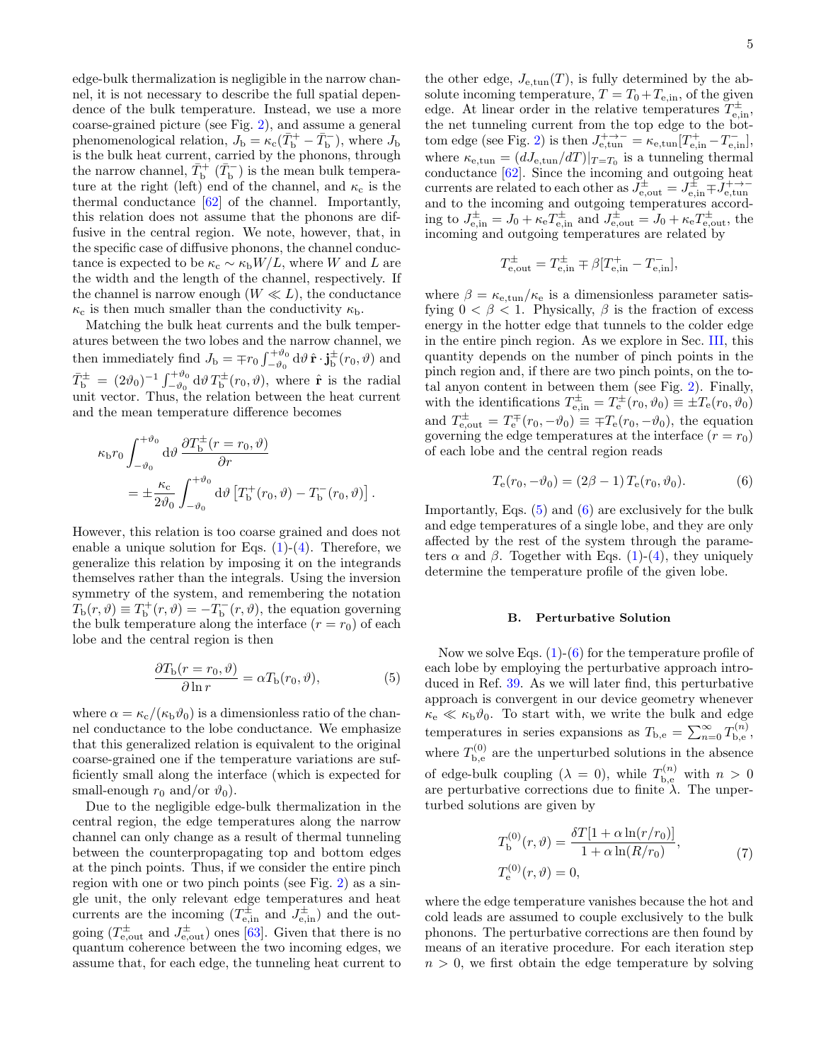edge-bulk thermalization is negligible in the narrow channel, it is not necessary to describe the full spatial dependence of the bulk temperature. Instead, we use a more coarse-grained picture (see Fig. [2\)](#page-2-1), and assume a general phenomenological relation,  $J_{\rm b} = \kappa_{\rm c}(\bar{T}_{\rm b}^+ - \bar{T}_{\rm b}^-)$ , where  $J_{\rm b}$ is the bulk heat current, carried by the phonons, through the narrow channel,  $\bar{T}_{\rm b}^+$  ( $\bar{T}_{\rm b}^-$ ) is the mean bulk temperature at the right (left) end of the channel, and  $\kappa_c$  is the thermal conductance [\[62\]](#page-16-17) of the channel. Importantly, this relation does not assume that the phonons are diffusive in the central region. We note, however, that, in the specific case of diffusive phonons, the channel conductance is expected to be  $\kappa_c \sim \kappa_b W/L$ , where W and L are the width and the length of the channel, respectively. If the channel is narrow enough  $(W \ll L)$ , the conductance  $\kappa_c$  is then much smaller than the conductivity  $\kappa_b$ .

Matching the bulk heat currents and the bulk temperatures between the two lobes and the narrow channel, we then immediately find  $J_{\rm b} = \mp r_0 \int_{-\vartheta_0}^{+\vartheta_0} d\vartheta \, \hat{\mathbf{r}} \cdot \mathbf{j}_{\rm b}^{\pm}(r_0, \vartheta)$  and  $\bar{T}_{\rm b}^{\pm} = (2\vartheta_0)^{-1} \int_{-\vartheta_0}^{+\vartheta_0} d\vartheta T_{\rm b}^{\pm}(r_0,\vartheta)$ , where  $\hat{\bf r}$  is the radial unit vector. Thus, the relation between the heat current and the mean temperature difference becomes

<span id="page-4-1"></span>
$$
\kappa_{\rm b} r_0 \int_{-\vartheta_0}^{+\vartheta_0} d\vartheta \, \frac{\partial T_{\rm b}^{\pm}(r=r_0, \vartheta)}{\partial r} \n= \pm \frac{\kappa_{\rm c}}{2\vartheta_0} \int_{-\vartheta_0}^{+\vartheta_0} d\vartheta \left[ T_{\rm b}^+(r_0, \vartheta) - T_{\rm b}^-(r_0, \vartheta) \right].
$$

However, this relation is too coarse grained and does not enable a unique solution for Eqs.  $(1)-(4)$  $(1)-(4)$ . Therefore, we generalize this relation by imposing it on the integrands themselves rather than the integrals. Using the inversion symmetry of the system, and remembering the notation  $T_{\rm b}(r,\vartheta) \equiv T_{\rm b}^+(r,\vartheta) = -T_{\rm b}^-(r,\vartheta)$ , the equation governing the bulk temperature along the interface  $(r = r_0)$  of each lobe and the central region is then

$$
\frac{\partial T_{\rm b}(r=r_0,\vartheta)}{\partial \ln r} = \alpha T_{\rm b}(r_0,\vartheta),\tag{5}
$$

where  $\alpha = \kappa_c/(\kappa_b \vartheta_0)$  is a dimensionless ratio of the channel conductance to the lobe conductance. We emphasize that this generalized relation is equivalent to the original coarse-grained one if the temperature variations are sufficiently small along the interface (which is expected for small-enough  $r_0$  and/or  $\vartheta_0$ ).

Due to the negligible edge-bulk thermalization in the central region, the edge temperatures along the narrow channel can only change as a result of thermal tunneling between the counterpropagating top and bottom edges at the pinch points. Thus, if we consider the entire pinch region with one or two pinch points (see Fig. [2\)](#page-2-1) as a single unit, the only relevant edge temperatures and heat currents are the incoming  $(T_{e,in}^{\pm} \text{ and } J_{e,in}^{\pm})$  and the outgoing  $(T_{e, \text{out}}^{\pm}$  and  $J_{e, \text{out}}^{\pm}$  ones [\[63\]](#page-16-18). Given that there is no quantum coherence between the two incoming edges, we assume that, for each edge, the tunneling heat current to

the other edge,  $J_{e,\text{tun}}(T)$ , is fully determined by the absolute incoming temperature,  $T = T_0 + T_{e, in}$ , of the given edge. At linear order in the relative temperatures  $T_{\text{e,in}}^{\pm}$ , the net tunneling current from the top edge to the bot-tom edge (see Fig. [2\)](#page-2-1) is then  $J_{e,\text{tun}}^{+ \rightarrow -} = \kappa_{e,\text{tun}} [T_{e,\text{in}}^{+} - T_{e,\text{in}}^{-}]$ , where  $\kappa_{e,\text{tun}} = (dJ_{e,\text{tun}}/dT)|_{T=T_0}$  is a tunneling thermal conductance [\[62\]](#page-16-17). Since the incoming and outgoing heat currents are related to each other as  $J_{e, \text{out}}^{\pm} = J_{e, \text{in}}^{\pm} \mp J_{e, \text{tun}}^{+ \rightarrow -}$ and to the incoming and outgoing temperatures according to  $J_{e,in}^{\pm} = J_0 + \kappa_e T_{e,in}^{\pm}$  and  $J_{e,out}^{\pm} = J_0 + \kappa_e T_{e,out}^{\pm}$ , the incoming and outgoing temperatures are related by

<span id="page-4-2"></span>
$$
T_{\text{e,out}}^{\pm} = T_{\text{e,in}}^{\pm} \mp \beta [T_{\text{e,in}}^{+} - T_{\text{e,in}}^{-}],
$$

where  $\beta = \kappa_{e,\text{tun}}/\kappa_e$  is a dimensionless parameter satisfying  $0 < \beta < 1$ . Physically,  $\beta$  is the fraction of excess energy in the hotter edge that tunnels to the colder edge in the entire pinch region. As we explore in Sec. [III,](#page-7-0) this quantity depends on the number of pinch points in the pinch region and, if there are two pinch points, on the total anyon content in between them (see Fig. [2\)](#page-2-1). Finally, with the identifications  $T_{e,in}^{\pm} = T_e^{\pm}(r_0, \vartheta_0) \equiv \pm T_e(r_0, \vartheta_0)$ and  $T_{\text{e,out}}^{\pm} = T_{\text{e}}^{\mp}(r_0, -\vartheta_0) \equiv \mp T_{\text{e}}(r_0, -\vartheta_0)$ , the equation governing the edge temperatures at the interface  $(r = r_0)$ of each lobe and the central region reads

$$
T_{\rm e}(r_0, -\vartheta_0) = (2\beta - 1) T_{\rm e}(r_0, \vartheta_0). \tag{6}
$$

Importantly, Eqs. [\(5\)](#page-4-1) and [\(6\)](#page-4-2) are exclusively for the bulk and edge temperatures of a single lobe, and they are only affected by the rest of the system through the parameters  $\alpha$  and  $\beta$ . Together with Eqs. [\(1\)](#page-3-1)-[\(4\)](#page-3-2), they uniquely determine the temperature profile of the given lobe.

### <span id="page-4-0"></span>B. Perturbative Solution

Now we solve Eqs.  $(1)-(6)$  $(1)-(6)$  for the temperature profile of each lobe by employing the perturbative approach introduced in Ref. [39.](#page-16-3) As we will later find, this perturbative approach is convergent in our device geometry whenever  $\kappa_{\rm e} \ll \kappa_{\rm b} \vartheta_0$ . To start with, we write the bulk and edge temperatures in series expansions as  $T_{\text{b,e}} = \sum_{n=0}^{\infty} T_{\text{b,e}}^{(n)}$  $\mathbf{h}_{\mathbf{b},\mathbf{e}}^{(n)},$ where  $T_{\rm b,e}^{(0)}$  $b_{b,e}^{(0)}$  are the unperturbed solutions in the absence of edge-bulk coupling  $(\lambda = 0)$ , while  $T_{\text{b,e}}^{(n)}$  with  $n > 0$ are perturbative corrections due to finite  $\lambda$ . The unperturbed solutions are given by

<span id="page-4-3"></span>
$$
T_{\rm b}^{(0)}(r,\vartheta) = \frac{\delta T[1 + \alpha \ln(r/r_0)]}{1 + \alpha \ln(R/r_0)},
$$
  
\n
$$
T_{\rm e}^{(0)}(r,\vartheta) = 0,
$$
\n(7)

where the edge temperature vanishes because the hot and cold leads are assumed to couple exclusively to the bulk phonons. The perturbative corrections are then found by means of an iterative procedure. For each iteration step  $n > 0$ , we first obtain the edge temperature by solving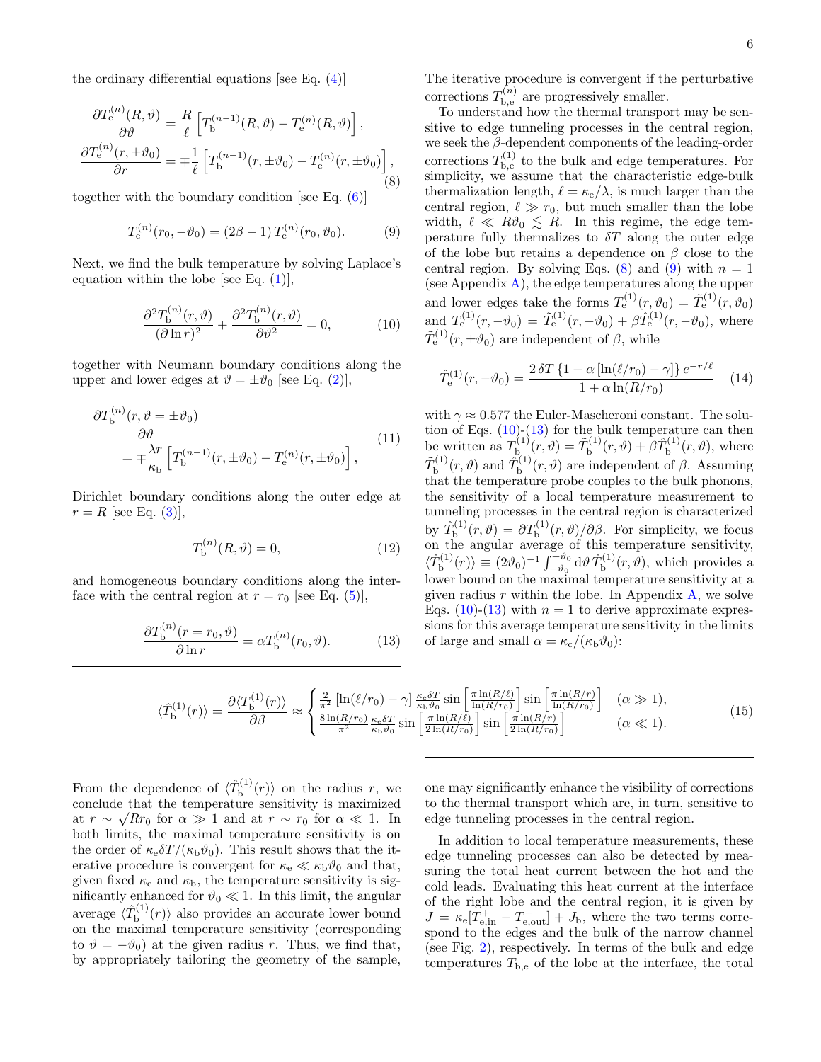<span id="page-5-0"></span>
$$
\frac{\partial T_{\mathbf{e}}^{(n)}(R,\vartheta)}{\partial \vartheta} = \frac{R}{\ell} \left[ T_{\mathbf{b}}^{(n-1)}(R,\vartheta) - T_{\mathbf{e}}^{(n)}(R,\vartheta) \right],
$$

$$
\frac{\partial T_{\mathbf{e}}^{(n)}(r,\pm \vartheta_0)}{\partial r} = \mp \frac{1}{\ell} \left[ T_{\mathbf{b}}^{(n-1)}(r,\pm \vartheta_0) - T_{\mathbf{e}}^{(n)}(r,\pm \vartheta_0) \right],
$$
(8)

together with the boundary condition [see Eq.  $(6)$ ]

<span id="page-5-1"></span>
$$
T_e^{(n)}(r_0, -\vartheta_0) = (2\beta - 1) T_e^{(n)}(r_0, \vartheta_0).
$$
 (9)

Next, we find the bulk temperature by solving Laplace's equation within the lobe [see Eq.  $(1)$ ],

<span id="page-5-2"></span>
$$
\frac{\partial^2 T_{\mathbf{b}}^{(n)}(r,\vartheta)}{(\partial \ln r)^2} + \frac{\partial^2 T_{\mathbf{b}}^{(n)}(r,\vartheta)}{\partial \vartheta^2} = 0,\tag{10}
$$

together with Neumann boundary conditions along the upper and lower edges at  $\vartheta = \pm \vartheta_0$  [see Eq. [\(2\)](#page-3-3)],

<span id="page-5-6"></span>
$$
\frac{\partial T_{\mathbf{b}}^{(n)}(r,\vartheta = \pm \vartheta_0)}{\partial \vartheta} = \mp \frac{\lambda r}{\kappa_{\mathbf{b}}} \left[ T_{\mathbf{b}}^{(n-1)}(r, \pm \vartheta_0) - T_{\mathbf{e}}^{(n)}(r, \pm \vartheta_0) \right],
$$
\n(11)

Dirichlet boundary conditions along the outer edge at  $r = R$  [see Eq. [\(3\)](#page-3-4)],

$$
T_{\rm b}^{(n)}(R,\vartheta) = 0,\t\t(12)
$$

and homogeneous boundary conditions along the interface with the central region at  $r = r_0$  [see Eq. [\(5\)](#page-4-1)],

<span id="page-5-3"></span>
$$
\frac{\partial T_{\mathbf{b}}^{(n)}(r=r_0,\vartheta)}{\partial \ln r} = \alpha T_{\mathbf{b}}^{(n)}(r_0,\vartheta). \tag{13}
$$

The iterative procedure is convergent if the perturbative corrections  $T_{\text{b.e}}^{(n)}$  $b_{\rm be}^{(n)}$  are progressively smaller.

To understand how the thermal transport may be sensitive to edge tunneling processes in the central region, we seek the  $\beta$ -dependent components of the leading-order corrections  $T_{\rm b,e}^{(1)}$  $b_{b,e}^{(1)}$  to the bulk and edge temperatures. For simplicity, we assume that the characteristic edge-bulk thermalization length,  $\ell = \kappa_{\rm e}/\lambda$ , is much larger than the central region,  $\ell \gg r_0$ , but much smaller than the lobe width,  $\ell \ll R\vartheta_0 \lesssim R$ . In this regime, the edge temperature fully thermalizes to  $\delta T$  along the outer edge of the lobe but retains a dependence on  $\beta$  close to the central region. By solving Eqs. [\(8\)](#page-5-0) and [\(9\)](#page-5-1) with  $n = 1$ (see Appendix  $\bf{A}$ ), the edge temperatures along the upper and lower edges take the forms  $T_{e}^{(1)}(r, \vartheta_0) = \tilde{T}_{e}^{(1)}(r, \vartheta_0)$ and  $T_e^{(1)}(r, -\vartheta_0) = \tilde{T}_e^{(1)}(r, -\vartheta_0) + \beta \hat{T}_e^{(1)}(r, -\vartheta_0)$ , where  $\tilde{T}_{\rm e}^{(1)}(r, \pm \vartheta_0)$  are independent of  $\beta$ , while

<span id="page-5-4"></span>
$$
\hat{T}_{\rm e}^{(1)}(r, -\vartheta_0) = \frac{2 \,\delta T \left\{ 1 + \alpha \left[ \ln(\ell/r_0) - \gamma \right] \right\} e^{-r/\ell}}{1 + \alpha \ln(R/r_0)} \tag{14}
$$

with  $\gamma \approx 0.577$  the Euler-Mascheroni constant. The solution of Eqs.  $(10)$ - $(13)$  for the bulk temperature can then be written as  $T_{\rm b}^{(1)}$  $\tilde{T}_{\text{b}}^{(1)}(\vec{r},\vartheta)=\tilde{T}_{\text{b}}^{(1)}$  $\hat{b}_{\text{b}}^{(1)}(r,\vartheta)+\hat{\beta}\hat{T}_{\text{b}}^{(1)}$  $\mathfrak{h}^{(1)}(r,\vartheta)$ , where  $\tilde{T}^{(1)}_{\rm b}$  $\hat{T}_{\text{b}}^{(1)}(r,\vartheta)$  and  $\hat{T}_{\text{b}}^{(1)}$  $b^{(1)}(r,\theta)$  are independent of  $\beta$ . Assuming that the temperature probe couples to the bulk phonons, the sensitivity of a local temperature measurement to tunneling processes in the central region is characterized by  $\hat{T}_{\rm b}^{(1)}$  $b_{\rm b}^{(1)}(r,\vartheta)=\partial T_{\rm b}^{(1)}(r,\vartheta)/\partial\beta$ . For simplicity, we focus on the angular average of this temperature sensitivity,  $\langle \hat{T}_{\mathrm{b}}^{(1)}$  $\ket{\Phi_{\rm b}^{(1)}}(r) \equiv (2\vartheta_0)^{-1} \int_{-\vartheta_0}^{+\vartheta_0} {\rm d} \vartheta \, \hat{T}_{\rm b}^{(1)}$  $\mathbf{b}^{(1)}(r,\vartheta)$ , which provides a lower bound on the maximal temperature sensitivity at a given radius  $r$  within the lobe. In Appendix  $\bf{A}$ , we solve Eqs. [\(10\)](#page-5-2)-[\(13\)](#page-5-3) with  $n = 1$  to derive approximate expressions for this average temperature sensitivity in the limits of large and small  $\alpha = \kappa_c/(\kappa_b \vartheta_0)$ :

<span id="page-5-5"></span>
$$
\langle \hat{T}_{\mathbf{b}}^{(1)}(r) \rangle = \frac{\partial \langle T_{\mathbf{b}}^{(1)}(r) \rangle}{\partial \beta} \approx \begin{cases} \frac{2}{\pi^2} \left[ \ln(\ell/r_0) - \gamma \right] \frac{\kappa_{\mathbf{c}} \delta T}{\kappa_{\mathbf{b}} \vartheta_0} \sin \left[ \frac{\pi \ln(R/\ell)}{\ln(R/r_0)} \right] \sin \left[ \frac{\pi \ln(R/r)}{\ln(R/r_0)} \right] & (\alpha \gg 1), \\ \frac{8 \ln(R/r_0)}{\pi^2} \frac{\kappa_{\mathbf{c}} \delta T}{\kappa_{\mathbf{b}} \vartheta_0} \sin \left[ \frac{\pi \ln(R/\ell)}{2 \ln(R/r_0)} \right] \sin \left[ \frac{\pi \ln(R/r)}{2 \ln(R/r_0)} \right] & (\alpha \ll 1). \end{cases} \tag{15}
$$

From the dependence of  $\langle \hat{T}_{\mathbf{b}}^{(1)} \rangle$  $\mathcal{L}_{\mathbf{b}}^{(1)}(r)$  on the radius r, we conclude that the temperature sensitivity is maximized at  $r \sim \sqrt{Rr_0}$  for  $\alpha \gg 1$  and at  $r \sim r_0$  for  $\alpha \ll 1$ . In both limits, the maximal temperature sensitivity is on the order of  $\kappa_{\rm e} \delta T/(\kappa_{\rm b} \vartheta_0)$ . This result shows that the iterative procedure is convergent for  $\kappa_{\rm e} \ll \kappa_{\rm b} \vartheta_0$  and that, given fixed  $\kappa_e$  and  $\kappa_b$ , the temperature sensitivity is significantly enhanced for  $\vartheta_0 \ll 1$ . In this limit, the angular average  $\langle \hat{T}_{\mathrm{b}}^{(1)} \rangle$  $\mathbf{b}_{\mathbf{b}}^{(1)}(r)$  also provides an accurate lower bound on the maximal temperature sensitivity (corresponding to  $\vartheta = -\vartheta_0$  at the given radius r. Thus, we find that, by appropriately tailoring the geometry of the sample,

one may significantly enhance the visibility of corrections to the thermal transport which are, in turn, sensitive to edge tunneling processes in the central region.

In addition to local temperature measurements, these edge tunneling processes can also be detected by measuring the total heat current between the hot and the cold leads. Evaluating this heat current at the interface of the right lobe and the central region, it is given by  $J = \kappa_e [T_{\text{e,in}}^+ - T_{\text{e,out}}^-] + J_b$ , where the two terms correspond to the edges and the bulk of the narrow channel (see Fig. [2\)](#page-2-1), respectively. In terms of the bulk and edge temperatures  $T_{\rm b,e}$  of the lobe at the interface, the total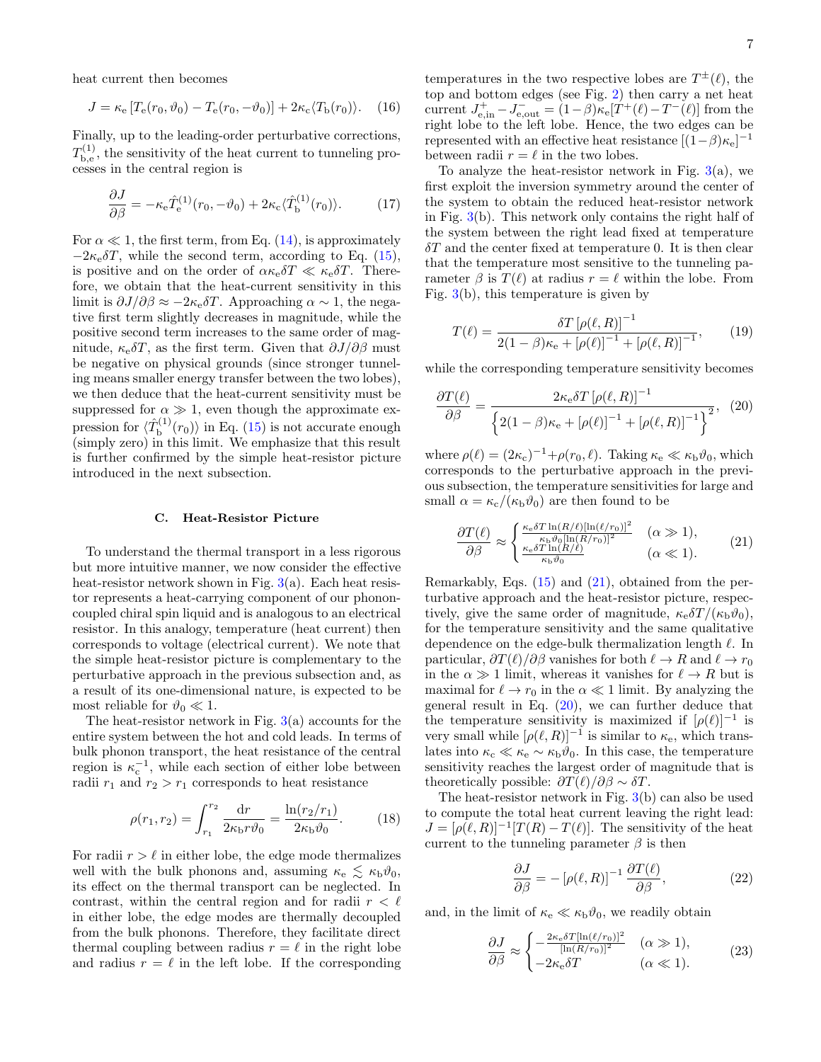heat current then becomes

$$
J = \kappa_{\rm e} \left[ T_{\rm e}(r_0, \vartheta_0) - T_{\rm e}(r_0, -\vartheta_0) \right] + 2\kappa_{\rm c} \langle T_{\rm b}(r_0) \rangle. \tag{16}
$$

Finally, up to the leading-order perturbative corrections,  $T_{\rm b,e}^{(1)}$  $b_{b,e}^{(1)}$ , the sensitivity of the heat current to tunneling processes in the central region is

$$
\frac{\partial J}{\partial \beta} = -\kappa_{\rm e} \hat{T}_{\rm e}^{(1)}(r_0, -\vartheta_0) + 2\kappa_{\rm c} \langle \hat{T}_{\rm b}^{(1)}(r_0) \rangle. \tag{17}
$$

For  $\alpha \ll 1$ , the first term, from Eq. [\(14\)](#page-5-4), is approximately  $-2\kappa_e \delta T$ , while the second term, according to Eq. [\(15\)](#page-5-5), is positive and on the order of  $\alpha \kappa_{e} \delta T \ll \kappa_{e} \delta T$ . Therefore, we obtain that the heat-current sensitivity in this limit is  $\partial J/\partial \beta \approx -2\kappa_e \delta T$ . Approaching  $\alpha \sim 1$ , the negative first term slightly decreases in magnitude, while the positive second term increases to the same order of magnitude,  $\kappa_e \delta T$ , as the first term. Given that  $\partial J/\partial \beta$  must be negative on physical grounds (since stronger tunneling means smaller energy transfer between the two lobes), we then deduce that the heat-current sensitivity must be suppressed for  $\alpha \gg 1$ , even though the approximate expression for  $\langle \hat{T}_{\text{b}}^{(1)} \rangle$  $\mathcal{L}_{\text{b}}^{(1)}(r_0)$  in Eq. [\(15\)](#page-5-5) is not accurate enough (simply zero) in this limit. We emphasize that this result is further confirmed by the simple heat-resistor picture introduced in the next subsection.

## <span id="page-6-0"></span>C. Heat-Resistor Picture

To understand the thermal transport in a less rigorous but more intuitive manner, we now consider the effective heat-resistor network shown in Fig.  $3(a)$  $3(a)$ . Each heat resistor represents a heat-carrying component of our phononcoupled chiral spin liquid and is analogous to an electrical resistor. In this analogy, temperature (heat current) then corresponds to voltage (electrical current). We note that the simple heat-resistor picture is complementary to the perturbative approach in the previous subsection and, as a result of its one-dimensional nature, is expected to be most reliable for  $\vartheta_0 \ll 1$ .

The heat-resistor network in Fig.  $3(a)$  $3(a)$  accounts for the entire system between the hot and cold leads. In terms of bulk phonon transport, the heat resistance of the central region is  $\kappa_c^{-1}$ , while each section of either lobe between radii  $r_1$  and  $r_2 > r_1$  corresponds to heat resistance

$$
\rho(r_1, r_2) = \int_{r_1}^{r_2} \frac{\mathrm{d}r}{2\kappa_{\rm b}r\vartheta_0} = \frac{\ln(r_2/r_1)}{2\kappa_{\rm b}\vartheta_0}.\tag{18}
$$

For radii  $r > \ell$  in either lobe, the edge mode thermalizes well with the bulk phonons and, assuming  $\kappa_e \lesssim \kappa_b \vartheta_0$ , its effect on the thermal transport can be neglected. In contrast, within the central region and for radii  $r < \ell$ in either lobe, the edge modes are thermally decoupled from the bulk phonons. Therefore, they facilitate direct thermal coupling between radius  $r = \ell$  in the right lobe and radius  $r = \ell$  in the left lobe. If the corresponding

temperatures in the two respective lobes are  $T^{\pm}(\ell)$ , the top and bottom edges (see Fig. [2\)](#page-2-1) then carry a net heat current  $J_{e,in}^+ - J_{e,out}^- = (1 - \beta)\kappa_e[T^+(\ell) - T^-(\ell)]$  from the right lobe to the left lobe. Hence, the two edges can be represented with an effective heat resistance  $[(1-\beta)\kappa_e]^{-1}$ between radii  $r = \ell$  in the two lobes.

To analyze the heat-resistor network in Fig.  $3(a)$  $3(a)$ , we first exploit the inversion symmetry around the center of the system to obtain the reduced heat-resistor network in Fig. [3\(](#page-7-1)b). This network only contains the right half of the system between the right lead fixed at temperature  $\delta T$  and the center fixed at temperature 0. It is then clear that the temperature most sensitive to the tunneling parameter  $\beta$  is  $T(\ell)$  at radius  $r = \ell$  within the lobe. From Fig. [3\(](#page-7-1)b), this temperature is given by

$$
T(\ell) = \frac{\delta T \left[ \rho(\ell, R) \right]^{-1}}{2(1 - \beta)\kappa_{\rm e} + \left[ \rho(\ell) \right]^{-1} + \left[ \rho(\ell, R) \right]^{-1}},\tag{19}
$$

while the corresponding temperature sensitivity becomes

<span id="page-6-2"></span>
$$
\frac{\partial T(\ell)}{\partial \beta} = \frac{2\kappa_e \delta T \left[\rho(\ell, R)\right]^{-1}}{\left\{2(1-\beta)\kappa_e + \left[\rho(\ell)\right]^{-1} + \left[\rho(\ell, R)\right]^{-1}\right\}^2},\tag{20}
$$

where  $\rho(\ell) = (2\kappa_c)^{-1} + \rho(r_0, \ell)$ . Taking  $\kappa_e \ll \kappa_b \vartheta_0$ , which corresponds to the perturbative approach in the previous subsection, the temperature sensitivities for large and small  $\alpha = \kappa_c/(\kappa_b \vartheta_0)$  are then found to be

<span id="page-6-1"></span>
$$
\frac{\partial T(\ell)}{\partial \beta} \approx \begin{cases} \frac{\kappa_e \delta T \ln(R/\ell)[\ln(\ell/r_0)]^2}{\kappa_b \vartheta_0 [\ln(R/r_0)]^2} & (\alpha \gg 1),\\ \frac{\kappa_e \delta T \ln(R/\ell)}{\kappa_b \vartheta_0} & (\alpha \ll 1). \end{cases}
$$
(21)

Remarkably, Eqs. [\(15\)](#page-5-5) and [\(21\)](#page-6-1), obtained from the perturbative approach and the heat-resistor picture, respectively, give the same order of magnitude,  $\kappa_e \delta T / (\kappa_b \vartheta_0)$ , for the temperature sensitivity and the same qualitative dependence on the edge-bulk thermalization length  $\ell$ . In particular,  $\partial T(\ell)/\partial \beta$  vanishes for both  $\ell \to R$  and  $\ell \to r_0$ in the  $\alpha \gg 1$  limit, whereas it vanishes for  $\ell \to R$  but is maximal for  $\ell \to r_0$  in the  $\alpha \ll 1$  limit. By analyzing the general result in Eq.  $(20)$ , we can further deduce that the temperature sensitivity is maximized if  $[\rho(\ell)]^{-1}$  is very small while  $[\rho(\ell, R)]^{-1}$  is similar to  $\kappa_e$ , which translates into  $\kappa_c \ll \kappa_e \sim \kappa_b \vartheta_0$ . In this case, the temperature sensitivity reaches the largest order of magnitude that is theoretically possible:  $\partial T(\ell)/\partial \beta \sim \delta T$ .

The heat-resistor network in Fig. [3\(](#page-7-1)b) can also be used to compute the total heat current leaving the right lead:  $J = [\rho(\ell, R)]^{-1}[T(R) - T(\ell)].$  The sensitivity of the heat current to the tunneling parameter  $\beta$  is then

<span id="page-6-3"></span>
$$
\frac{\partial J}{\partial \beta} = -\left[\rho(\ell, R)\right]^{-1} \frac{\partial T(\ell)}{\partial \beta},\tag{22}
$$

and, in the limit of  $\kappa_e \ll \kappa_b \vartheta_0$ , we readily obtain

<span id="page-6-4"></span>
$$
\frac{\partial J}{\partial \beta} \approx \begin{cases}\n-\frac{2\kappa_e \delta T [\ln(\ell/r_0)]^2}{[\ln(R/r_0)]^2} & (\alpha \gg 1), \\
-2\kappa_e \delta T & (\alpha \ll 1).\n\end{cases}
$$
\n(23)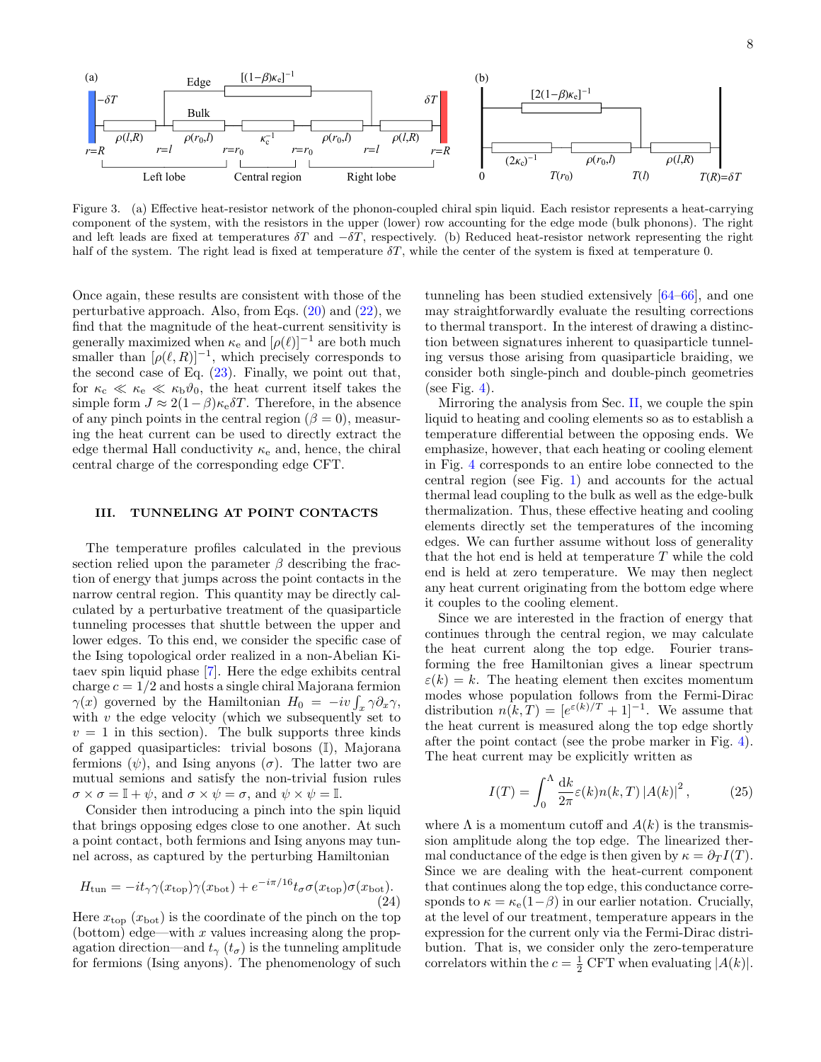

<span id="page-7-1"></span>Figure 3. (a) Effective heat-resistor network of the phonon-coupled chiral spin liquid. Each resistor represents a heat-carrying component of the system, with the resistors in the upper (lower) row accounting for the edge mode (bulk phonons). The right and left leads are fixed at temperatures  $\delta T$  and  $-\delta T$ , respectively. (b) Reduced heat-resistor network representing the right half of the system. The right lead is fixed at temperature  $\delta T$ , while the center of the system is fixed at temperature 0.

Once again, these results are consistent with those of the perturbative approach. Also, from Eqs.  $(20)$  and  $(22)$ , we find that the magnitude of the heat-current sensitivity is generally maximized when  $\kappa_e$  and  $[\rho(\ell)]^{-1}$  are both much smaller than  $[\rho(\ell, R)]^{-1}$ , which precisely corresponds to the second case of Eq. [\(23\)](#page-6-4). Finally, we point out that, for  $\kappa_c \ll \kappa_e \ll \kappa_b \vartheta_0$ , the heat current itself takes the simple form  $J \approx 2(1-\beta)\kappa_e \delta T$ . Therefore, in the absence of any pinch points in the central region ( $\beta = 0$ ), measuring the heat current can be used to directly extract the edge thermal Hall conductivity  $\kappa_e$  and, hence, the chiral central charge of the corresponding edge CFT.

# <span id="page-7-0"></span>III. TUNNELING AT POINT CONTACTS

The temperature profiles calculated in the previous section relied upon the parameter  $\beta$  describing the fraction of energy that jumps across the point contacts in the narrow central region. This quantity may be directly calculated by a perturbative treatment of the quasiparticle tunneling processes that shuttle between the upper and lower edges. To this end, we consider the specific case of the Ising topological order realized in a non-Abelian Kitaev spin liquid phase [\[7\]](#page-14-8). Here the edge exhibits central charge  $c = 1/2$  and hosts a single chiral Majorana fermion  $\gamma(x)$  governed by the Hamiltonian  $H_0 = -iv \int_x \gamma \partial_x \gamma$ , with  $v$  the edge velocity (which we subsequently set to  $v = 1$  in this section). The bulk supports three kinds of gapped quasiparticles: trivial bosons (I), Majorana fermions  $(\psi)$ , and Ising anyons  $(\sigma)$ . The latter two are mutual semions and satisfy the non-trivial fusion rules  $\sigma \times \sigma = \mathbb{I} + \psi$ , and  $\sigma \times \psi = \sigma$ , and  $\psi \times \psi = \mathbb{I}$ .

Consider then introducing a pinch into the spin liquid that brings opposing edges close to one another. At such a point contact, both fermions and Ising anyons may tunnel across, as captured by the perturbing Hamiltonian

$$
H_{\text{tun}} = -it_{\gamma} \gamma(x_{\text{top}}) \gamma(x_{\text{bot}}) + e^{-i\pi/16} t_{\sigma} \sigma(x_{\text{top}}) \sigma(x_{\text{bot}}). \tag{24}
$$

Here  $x_{\text{top}} (x_{\text{bot}})$  is the coordinate of the pinch on the top (bottom) edge—with x values increasing along the propagation direction—and  $t_{\gamma}$  ( $t_{\sigma}$ ) is the tunneling amplitude for fermions (Ising anyons). The phenomenology of such

tunneling has been studied extensively [\[64–](#page-16-19)[66\]](#page-16-20), and one may straightforwardly evaluate the resulting corrections to thermal transport. In the interest of drawing a distinction between signatures inherent to quasiparticle tunneling versus those arising from quasiparticle braiding, we consider both single-pinch and double-pinch geometries (see Fig. [4\)](#page-8-3).

Mirroring the analysis from Sec. [II,](#page-2-0) we couple the spin liquid to heating and cooling elements so as to establish a temperature differential between the opposing ends. We emphasize, however, that each heating or cooling element in Fig. [4](#page-8-3) corresponds to an entire lobe connected to the central region (see Fig. [1\)](#page-1-0) and accounts for the actual thermal lead coupling to the bulk as well as the edge-bulk thermalization. Thus, these effective heating and cooling elements directly set the temperatures of the incoming edges. We can further assume without loss of generality that the hot end is held at temperature T while the cold end is held at zero temperature. We may then neglect any heat current originating from the bottom edge where it couples to the cooling element.

Since we are interested in the fraction of energy that continues through the central region, we may calculate the heat current along the top edge. Fourier transforming the free Hamiltonian gives a linear spectrum  $\varepsilon(k) = k$ . The heating element then excites momentum modes whose population follows from the Fermi-Dirac distribution  $n(k,T) = [e^{\varepsilon(k)/T} + 1]^{-1}$ . We assume that the heat current is measured along the top edge shortly after the point contact (see the probe marker in Fig. [4\)](#page-8-3). The heat current may be explicitly written as

$$
I(T) = \int_0^{\Lambda} \frac{\mathrm{d}k}{2\pi} \varepsilon(k) n(k,T) \left| A(k) \right|^2, \tag{25}
$$

where  $\Lambda$  is a momentum cutoff and  $A(k)$  is the transmission amplitude along the top edge. The linearized thermal conductance of the edge is then given by  $\kappa = \partial_T I(T)$ . Since we are dealing with the heat-current component that continues along the top edge, this conductance corresponds to  $\kappa = \kappa_e(1-\beta)$  in our earlier notation. Crucially, at the level of our treatment, temperature appears in the expression for the current only via the Fermi-Dirac distribution. That is, we consider only the zero-temperature correlators within the  $c = \frac{1}{2}$  CFT when evaluating  $|A(k)|$ .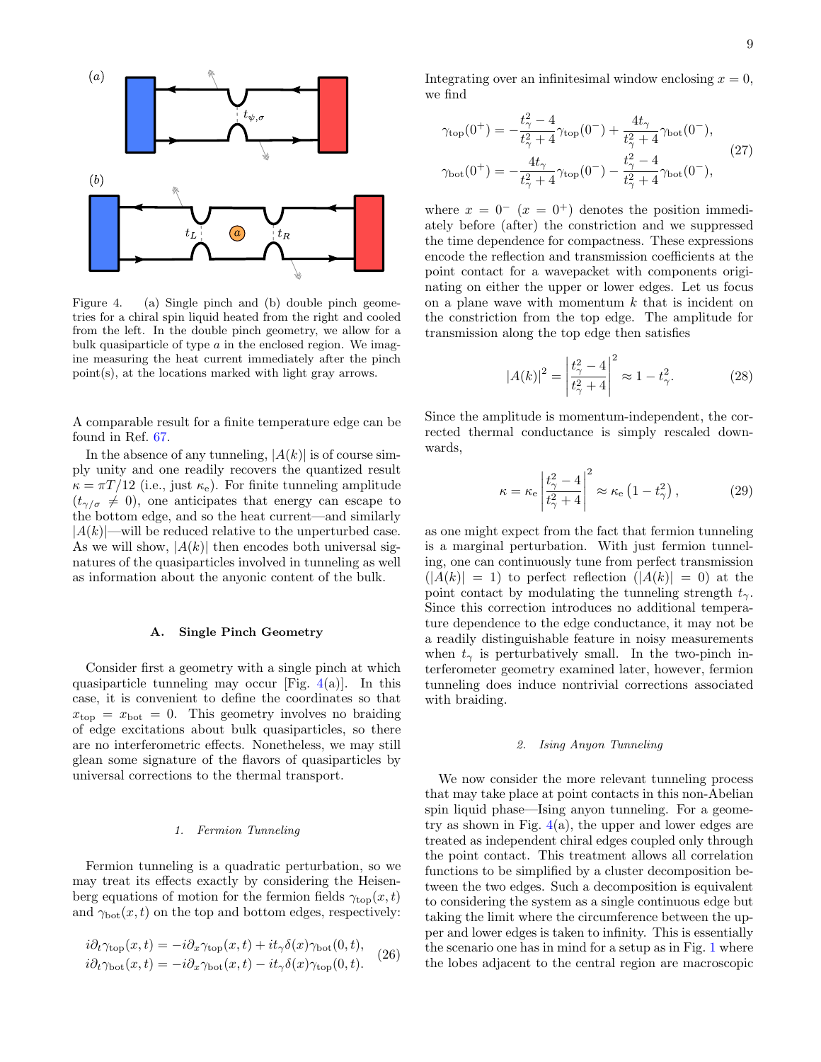

<span id="page-8-3"></span>Figure 4. (a) Single pinch and (b) double pinch geometries for a chiral spin liquid heated from the right and cooled from the left. In the double pinch geometry, we allow for a bulk quasiparticle of type  $a$  in the enclosed region. We imagine measuring the heat current immediately after the pinch point(s), at the locations marked with light gray arrows.

A comparable result for a finite temperature edge can be found in Ref. [67.](#page-16-21)

In the absence of any tunneling,  $|A(k)|$  is of course simply unity and one readily recovers the quantized result  $\kappa = \pi T/12$  (i.e., just  $\kappa_e$ ). For finite tunneling amplitude  $(t_{\gamma/\sigma} \neq 0)$ , one anticipates that energy can escape to the bottom edge, and so the heat current—and similarly  $|A(k)|$ —will be reduced relative to the unperturbed case. As we will show,  $|A(k)|$  then encodes both universal signatures of the quasiparticles involved in tunneling as well as information about the anyonic content of the bulk.

### <span id="page-8-0"></span>A. Single Pinch Geometry

Consider first a geometry with a single pinch at which quasiparticle tunneling may occur [Fig.  $4(a)$  $4(a)$ ]. In this case, it is convenient to define the coordinates so that  $x<sub>top</sub> = x<sub>bot</sub> = 0$ . This geometry involves no braiding of edge excitations about bulk quasiparticles, so there are no interferometric effects. Nonetheless, we may still glean some signature of the flavors of quasiparticles by universal corrections to the thermal transport.

### <span id="page-8-1"></span>1. Fermion Tunneling

Fermion tunneling is a quadratic perturbation, so we may treat its effects exactly by considering the Heisenberg equations of motion for the fermion fields  $\gamma_{\text{top}}(x, t)$ and  $\gamma_{\text{bot}}(x, t)$  on the top and bottom edges, respectively:

$$
i\partial_t \gamma_{\text{top}}(x,t) = -i\partial_x \gamma_{\text{top}}(x,t) + it_\gamma \delta(x) \gamma_{\text{bot}}(0,t),
$$
  
\n
$$
i\partial_t \gamma_{\text{bot}}(x,t) = -i\partial_x \gamma_{\text{bot}}(x,t) - it_\gamma \delta(x) \gamma_{\text{top}}(0,t).
$$
 (26)

Integrating over an infinitesimal window enclosing  $x = 0$ , we find

$$
\gamma_{\text{top}}(0^{+}) = -\frac{t_{\gamma}^{2} - 4}{t_{\gamma}^{2} + 4} \gamma_{\text{top}}(0^{-}) + \frac{4t_{\gamma}}{t_{\gamma}^{2} + 4} \gamma_{\text{bot}}(0^{-}),
$$
  

$$
\gamma_{\text{bot}}(0^{+}) = -\frac{4t_{\gamma}}{t_{\gamma}^{2} + 4} \gamma_{\text{top}}(0^{-}) - \frac{t_{\gamma}^{2} - 4}{t_{\gamma}^{2} + 4} \gamma_{\text{bot}}(0^{-}),
$$
(27)

where  $x = 0^ (x = 0^+)$  denotes the position immediately before (after) the constriction and we suppressed the time dependence for compactness. These expressions encode the reflection and transmission coefficients at the point contact for a wavepacket with components originating on either the upper or lower edges. Let us focus on a plane wave with momentum  $k$  that is incident on the constriction from the top edge. The amplitude for transmission along the top edge then satisfies

$$
|A(k)|^2 = \left| \frac{t_\gamma^2 - 4}{t_\gamma^2 + 4} \right|^2 \approx 1 - t_\gamma^2.
$$
 (28)

Since the amplitude is momentum-independent, the corrected thermal conductance is simply rescaled downwards,

$$
\kappa = \kappa_{\rm e} \left| \frac{t_{\gamma}^2 - 4}{t_{\gamma}^2 + 4} \right|^2 \approx \kappa_{\rm e} \left( 1 - t_{\gamma}^2 \right), \tag{29}
$$

as one might expect from the fact that fermion tunneling is a marginal perturbation. With just fermion tunneling, one can continuously tune from perfect transmission  $(|A(k)| = 1)$  to perfect reflection  $(|A(k)| = 0)$  at the point contact by modulating the tunneling strength  $t_{\gamma}$ . Since this correction introduces no additional temperature dependence to the edge conductance, it may not be a readily distinguishable feature in noisy measurements when  $t_{\gamma}$  is perturbatively small. In the two-pinch interferometer geometry examined later, however, fermion tunneling does induce nontrivial corrections associated with braiding.

### <span id="page-8-2"></span>2. Ising Anyon Tunneling

We now consider the more relevant tunneling process that may take place at point contacts in this non-Abelian spin liquid phase—Ising anyon tunneling. For a geometry as shown in Fig.  $4(a)$  $4(a)$ , the upper and lower edges are treated as independent chiral edges coupled only through the point contact. This treatment allows all correlation functions to be simplified by a cluster decomposition between the two edges. Such a decomposition is equivalent to considering the system as a single continuous edge but taking the limit where the circumference between the upper and lower edges is taken to infinity. This is essentially the scenario one has in mind for a setup as in Fig. [1](#page-1-0) where the lobes adjacent to the central region are macroscopic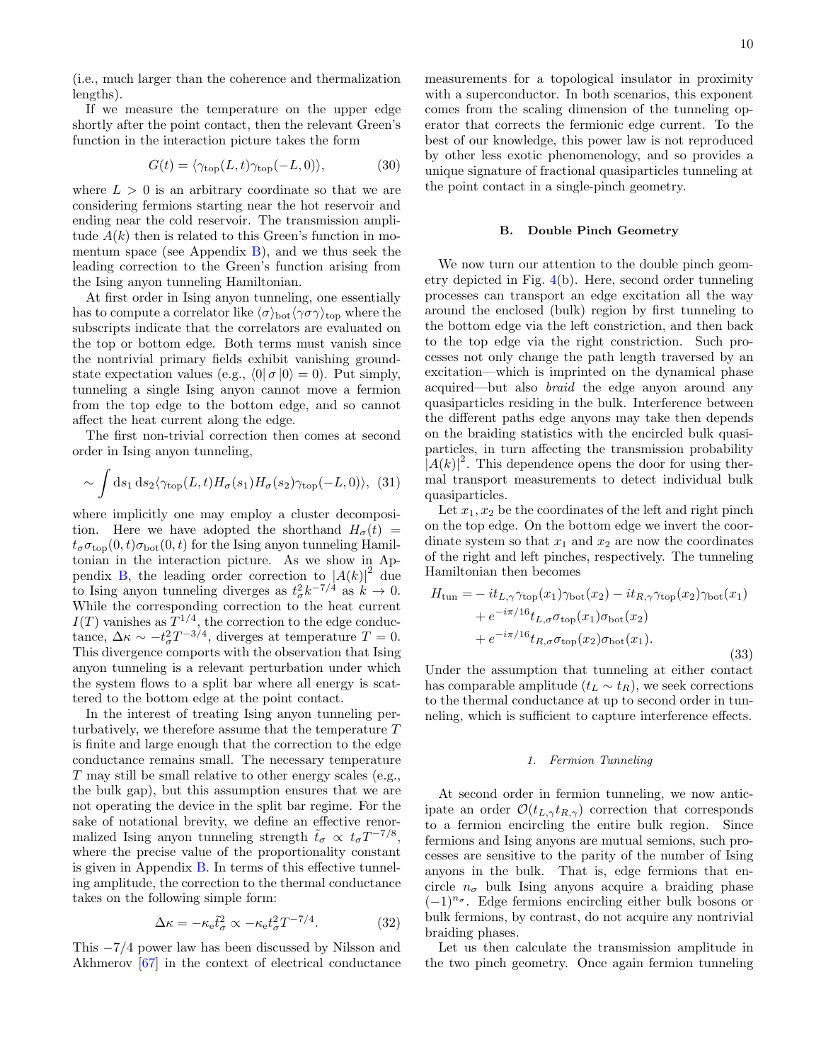(i.e., much larger than the coherence and thermalization lengths).

If we measure the temperature on the upper edge shortly after the point contact, then the relevant Green's function in the interaction picture takes the form

$$
G(t) = \langle \gamma_{\text{top}}(L, t) \gamma_{\text{top}}(-L, 0) \rangle, \tag{30}
$$

where  $L > 0$  is an arbitrary coordinate so that we are considering fermions starting near the hot reservoir and ending near the cold reservoir. The transmission amplitude  $A(k)$  then is related to this Green's function in momentum space (see Appendix  $B$ ), and we thus seek the leading correction to the Green's function arising from the Ising anyon tunneling Hamiltonian.

At first order in Ising anyon tunneling, one essentially has to compute a correlator like  $\langle \sigma \rangle_{\text{bot}} \langle \gamma \sigma \gamma \rangle_{\text{top}}$  where the subscripts indicate that the correlators are evaluated on the top or bottom edge. Both terms must vanish since the nontrivial primary fields exhibit vanishing groundstate expectation values (e.g.,  $\langle 0 | \sigma | 0 \rangle = 0$ ). Put simply, tunneling a single Ising anyon cannot move a fermion from the top edge to the bottom edge, and so cannot affect the heat current along the edge.

The first non-trivial correction then comes at second order in Ising anyon tunneling,

$$
\sim \int ds_1 ds_2 \langle \gamma_{\text{top}}(L, t) H_{\sigma}(s_1) H_{\sigma}(s_2) \gamma_{\text{top}}(-L, 0) \rangle, \tag{31}
$$

where implicitly one may employ a cluster decomposition. Here we have adopted the shorthand  $H_{\sigma}(t)$  =  $t_{\sigma}\sigma_{\text{top}}(0, t)\sigma_{\text{bot}}(0, t)$  for the Ising anyon tunneling Hamiltonian in the interaction picture. As we show in Ap-pendix [B,](#page-19-0) the leading order correction to  $|A(k)|^2$  due to Ising anyon tunneling diverges as  $t^2_{\sigma} k^{-7/4}$  as  $k \to 0$ . While the corresponding correction to the heat current  $I(T)$  vanishes as  $T^{1/4}$ , the correction to the edge conductance,  $\Delta \kappa \sim -t_{\sigma}^2 T^{-3/4}$ , diverges at temperature  $T = 0$ . This divergence comports with the observation that Ising anyon tunneling is a relevant perturbation under which the system flows to a split bar where all energy is scattered to the bottom edge at the point contact.

In the interest of treating Ising anyon tunneling perturbatively, we therefore assume that the temperature  $T$ is finite and large enough that the correction to the edge conductance remains small. The necessary temperature T may still be small relative to other energy scales (e.g., the bulk gap), but this assumption ensures that we are not operating the device in the split bar regime. For the sake of notational brevity, we define an effective renormalized Ising anyon tunneling strength  $\tilde{t}_{\sigma} \propto t_{\sigma} T^{-7/8}$ , where the precise value of the proportionality constant is given in Appendix [B.](#page-19-0) In terms of this effective tunneling amplitude, the correction to the thermal conductance takes on the following simple form:

$$
\Delta \kappa = -\kappa_{\rm e} \tilde{t}_{\sigma}^2 \propto -\kappa_{\rm e} t_{\sigma}^2 T^{-7/4}.
$$
 (32)

This −7/4 power law has been discussed by Nilsson and Akhmerov [\[67\]](#page-16-21) in the context of electrical conductance measurements for a topological insulator in proximity with a superconductor. In both scenarios, this exponent comes from the scaling dimension of the tunneling operator that corrects the fermionic edge current. To the best of our knowledge, this power law is not reproduced by other less exotic phenomenology, and so provides a unique signature of fractional quasiparticles tunneling at the point contact in a single-pinch geometry.

# <span id="page-9-0"></span>B. Double Pinch Geometry

We now turn our attention to the double pinch geometry depicted in Fig. [4\(](#page-8-3)b). Here, second order tunneling processes can transport an edge excitation all the way around the enclosed (bulk) region by first tunneling to the bottom edge via the left constriction, and then back to the top edge via the right constriction. Such processes not only change the path length traversed by an excitation—which is imprinted on the dynamical phase acquired—but also braid the edge anyon around any quasiparticles residing in the bulk. Interference between the different paths edge anyons may take then depends on the braiding statistics with the encircled bulk quasiparticles, in turn affecting the transmission probability  $|A(k)|^2$ . This dependence opens the door for using thermal transport measurements to detect individual bulk quasiparticles.

Let  $x_1, x_2$  be the coordinates of the left and right pinch on the top edge. On the bottom edge we invert the coordinate system so that  $x_1$  and  $x_2$  are now the coordinates of the right and left pinches, respectively. The tunneling Hamiltonian then becomes

$$
H_{\text{tun}} = -it_{L,\gamma} \gamma_{\text{top}}(x_1) \gamma_{\text{bot}}(x_2) - it_{R,\gamma} \gamma_{\text{top}}(x_2) \gamma_{\text{bot}}(x_1)
$$
  
+  $e^{-i\pi/16} t_{L,\sigma} \sigma_{\text{top}}(x_1) \sigma_{\text{bot}}(x_2)$   
+  $e^{-i\pi/16} t_{R,\sigma} \sigma_{\text{top}}(x_2) \sigma_{\text{bot}}(x_1).$  (33)

Under the assumption that tunneling at either contact has comparable amplitude  $(t_L \sim t_R)$ , we seek corrections to the thermal conductance at up to second order in tunneling, which is sufficient to capture interference effects.

### <span id="page-9-1"></span>1. Fermion Tunneling

At second order in fermion tunneling, we now anticipate an order  $\mathcal{O}(t_{L,\gamma}t_{R,\gamma})$  correction that corresponds to a fermion encircling the entire bulk region. Since fermions and Ising anyons are mutual semions, such processes are sensitive to the parity of the number of Ising anyons in the bulk. That is, edge fermions that encircle  $n_{\sigma}$  bulk Ising anyons acquire a braiding phase  $(-1)^{n_{\sigma}}$ . Edge fermions encircling either bulk bosons or bulk fermions, by contrast, do not acquire any nontrivial braiding phases.

Let us then calculate the transmission amplitude in the two pinch geometry. Once again fermion tunneling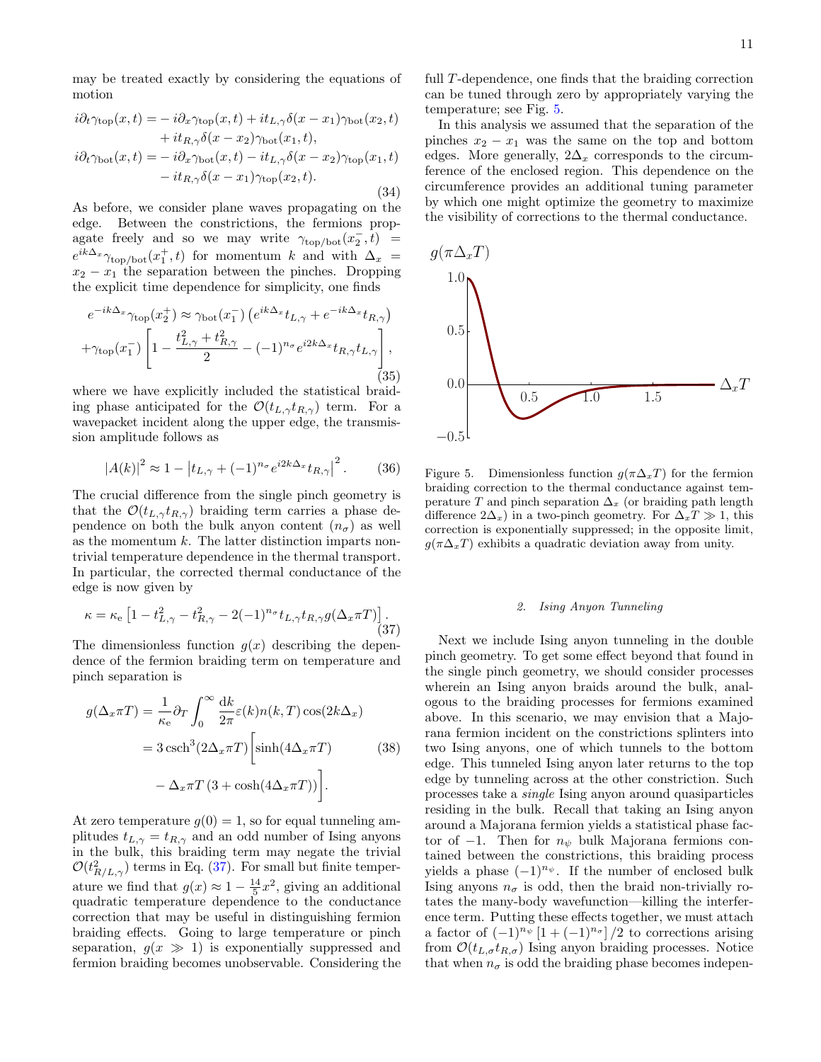may be treated exactly by considering the equations of motion

$$
i\partial_t \gamma_{\text{top}}(x,t) = -i\partial_x \gamma_{\text{top}}(x,t) + it_{L,\gamma} \delta(x - x_1) \gamma_{\text{bot}}(x_2,t)
$$
  
+ 
$$
it_{R,\gamma} \delta(x - x_2) \gamma_{\text{bot}}(x_1,t),
$$
  

$$
i\partial_t \gamma_{\text{bot}}(x,t) = -i\partial_x \gamma_{\text{bot}}(x,t) - it_{L,\gamma} \delta(x - x_2) \gamma_{\text{top}}(x_1,t)
$$
  
- 
$$
it_{R,\gamma} \delta(x - x_1) \gamma_{\text{top}}(x_2,t).
$$
 (34)

As before, we consider plane waves propagating on the edge. Between the constrictions, the fermions propagate freely and so we may write  $\gamma_{\text{top/bot}}(x_2^-, t)$  =  $e^{ik\Delta_x} \gamma_{\text{top/bot}}(x_1^+,t)$  for momentum k and with  $\Delta_x$  =  $x_2 - x_1$  the separation between the pinches. Dropping the explicit time dependence for simplicity, one finds

$$
e^{-ik\Delta_x}\gamma_{\text{top}}(x_2^+) \approx \gamma_{\text{bot}}(x_1^-) \left( e^{ik\Delta_x} t_{L,\gamma} + e^{-ik\Delta_x} t_{R,\gamma} \right)
$$

$$
+ \gamma_{\text{top}}(x_1^-) \left[ 1 - \frac{t_{L,\gamma}^2 + t_{R,\gamma}^2}{2} - (-1)^{n_{\sigma}} e^{i2k\Delta_x} t_{R,\gamma} t_{L,\gamma} \right],
$$
(35)

where we have explicitly included the statistical braiding phase anticipated for the  $\mathcal{O}(t_{L,\gamma}t_{R,\gamma})$  term. For a wavepacket incident along the upper edge, the transmission amplitude follows as

$$
|A(k)|^2 \approx 1 - \left| t_{L,\gamma} + (-1)^{n_\sigma} e^{i2k\Delta_x} t_{R,\gamma} \right|^2. \tag{36}
$$

The crucial difference from the single pinch geometry is that the  $\mathcal{O}(t_L, t_{R,\gamma})$  braiding term carries a phase dependence on both the bulk anyon content  $(n_{\sigma})$  as well as the momentum  $k$ . The latter distinction imparts nontrivial temperature dependence in the thermal transport. In particular, the corrected thermal conductance of the edge is now given by

<span id="page-10-1"></span>
$$
\kappa = \kappa_{\rm e} \left[ 1 - t_{L,\gamma}^2 - t_{R,\gamma}^2 - 2(-1)^{n_{\sigma}} t_{L,\gamma} t_{R,\gamma} g(\Delta_x \pi T) \right]. \tag{37}
$$

The dimensionless function  $g(x)$  describing the dependence of the fermion braiding term on temperature and pinch separation is

$$
g(\Delta_x \pi T) = \frac{1}{\kappa_e} \partial_T \int_0^\infty \frac{dk}{2\pi} \varepsilon(k) n(k, T) \cos(2k\Delta_x)
$$
  
=  $3 \operatorname{csch}^3(2\Delta_x \pi T) \left[ \sinh(4\Delta_x \pi T) \right]$  (38)  
 $-\Delta_x \pi T (3 + \cosh(4\Delta_x \pi T)) \right].$ 

At zero temperature  $g(0) = 1$ , so for equal tunneling amplitudes  $t_{L,\gamma} = t_{R,\gamma}$  and an odd number of Ising anyons in the bulk, this braiding term may negate the trivial  $\mathcal{O}(t_{R/L,\gamma}^2)$  terms in Eq. [\(37\)](#page-10-1). For small but finite temperature we find that  $g(x) \approx 1 - \frac{14}{5}x^2$ , giving an additional quadratic temperature dependence to the conductance correction that may be useful in distinguishing fermion braiding effects. Going to large temperature or pinch separation,  $q(x \gg 1)$  is exponentially suppressed and fermion braiding becomes unobservable. Considering the full T-dependence, one finds that the braiding correction can be tuned through zero by appropriately varying the temperature; see Fig. [5.](#page-10-2)

In this analysis we assumed that the separation of the pinches  $x_2 - x_1$  was the same on the top and bottom edges. More generally,  $2\Delta_x$  corresponds to the circumference of the enclosed region. This dependence on the circumference provides an additional tuning parameter by which one might optimize the geometry to maximize the visibility of corrections to the thermal conductance.



<span id="page-10-2"></span>Figure 5. Dimensionless function  $q(\pi\Delta_xT)$  for the fermion braiding correction to the thermal conductance against temperature T and pinch separation  $\Delta_x$  (or braiding path length difference  $2\Delta_x$ ) in a two-pinch geometry. For  $\Delta_x T \gg 1$ , this correction is exponentially suppressed; in the opposite limit,  $g(\pi\Delta_xT)$  exhibits a quadratic deviation away from unity.

# <span id="page-10-0"></span>2. Ising Anyon Tunneling

Next we include Ising anyon tunneling in the double pinch geometry. To get some effect beyond that found in the single pinch geometry, we should consider processes wherein an Ising anyon braids around the bulk, analogous to the braiding processes for fermions examined above. In this scenario, we may envision that a Majorana fermion incident on the constrictions splinters into two Ising anyons, one of which tunnels to the bottom edge. This tunneled Ising anyon later returns to the top edge by tunneling across at the other constriction. Such processes take a single Ising anyon around quasiparticles residing in the bulk. Recall that taking an Ising anyon around a Majorana fermion yields a statistical phase factor of  $-1$ . Then for  $n_{\psi}$  bulk Majorana fermions contained between the constrictions, this braiding process yields a phase  $(-1)^{n_{\psi}}$ . If the number of enclosed bulk Ising anyons  $n_{\sigma}$  is odd, then the braid non-trivially rotates the many-body wavefunction—killing the interference term. Putting these effects together, we must attach a factor of  $(-1)^{n_{\psi}}[1+(-1)^{n_{\sigma}}]/2$  to corrections arising from  $\mathcal{O}(t_{L,\sigma}t_{R,\sigma})$  Ising anyon braiding processes. Notice that when  $n_{\sigma}$  is odd the braiding phase becomes indepen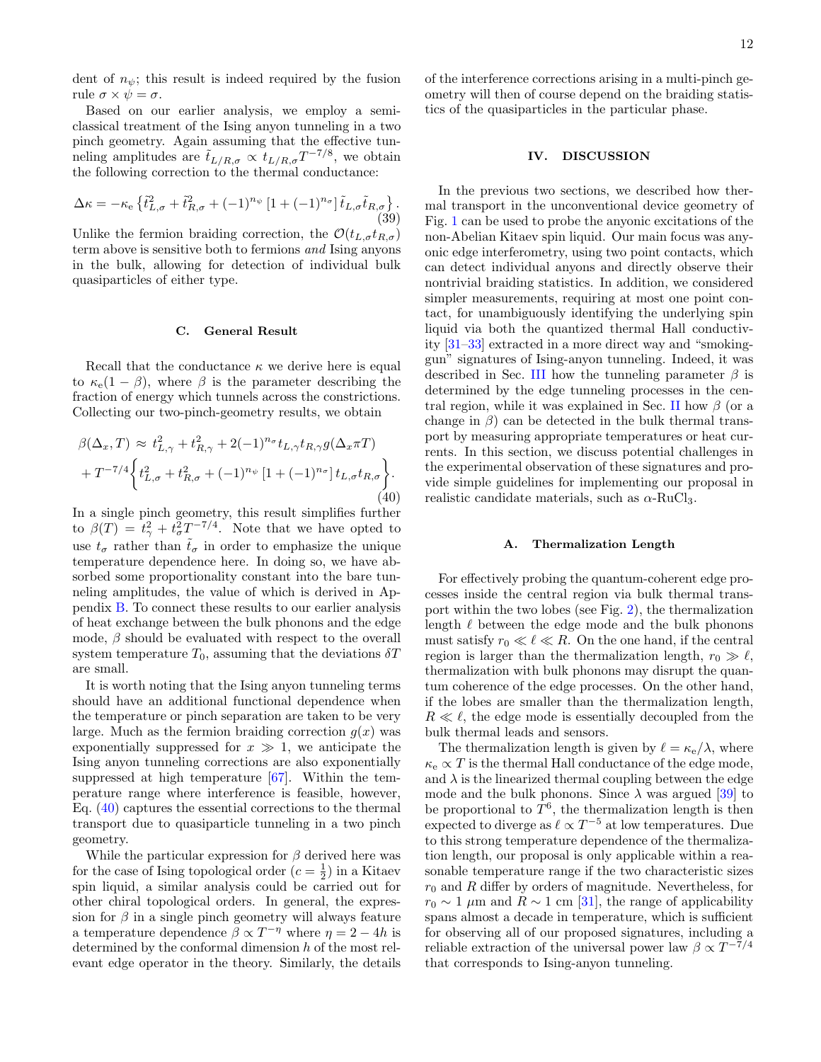dent of  $n_{\psi}$ ; this result is indeed required by the fusion rule  $\sigma \times \psi = \sigma$ .

Based on our earlier analysis, we employ a semiclassical treatment of the Ising anyon tunneling in a two pinch geometry. Again assuming that the effective tunneling amplitudes are  $\tilde{t}_{L/R,\sigma} \propto t_{L/R,\sigma} T^{-7/8}$ , we obtain the following correction to the thermal conductance:

$$
\Delta \kappa = -\kappa_{\rm e} \left\{ \tilde{t}_{L,\sigma}^2 + \tilde{t}_{R,\sigma}^2 + (-1)^{n_{\psi}} \left[ 1 + (-1)^{n_{\sigma}} \right] \tilde{t}_{L,\sigma} \tilde{t}_{R,\sigma} \right\}.
$$
\n(39)

Unlike the fermion braiding correction, the  $\mathcal{O}(t_{L,\sigma}t_{R,\sigma})$ term above is sensitive both to fermions and Ising anyons in the bulk, allowing for detection of individual bulk quasiparticles of either type.

# <span id="page-11-0"></span>C. General Result

Recall that the conductance  $\kappa$  we derive here is equal to  $\kappa_e(1-\beta)$ , where  $\beta$  is the parameter describing the fraction of energy which tunnels across the constrictions. Collecting our two-pinch-geometry results, we obtain

<span id="page-11-3"></span>
$$
\beta(\Delta_x, T) \approx t_{L,\gamma}^2 + t_{R,\gamma}^2 + 2(-1)^{n_{\sigma}} t_{L,\gamma} t_{R,\gamma} g(\Delta_x \pi T)
$$
  
+  $T^{-7/4} \left\{ t_{L,\sigma}^2 + t_{R,\sigma}^2 + (-1)^{n_{\psi}} \left[ 1 + (-1)^{n_{\sigma}} \right] t_{L,\sigma} t_{R,\sigma} \right\}.$   
(40)

In a single pinch geometry, this result simplifies further to  $\beta(T) = t_\gamma^2 + t_\sigma^2 T^{-7/4}$ . Note that we have opted to use  $t_{\sigma}$  rather than  $\tilde{t}_{\sigma}$  in order to emphasize the unique temperature dependence here. In doing so, we have absorbed some proportionality constant into the bare tunneling amplitudes, the value of which is derived in Appendix [B.](#page-19-0) To connect these results to our earlier analysis of heat exchange between the bulk phonons and the edge mode,  $\beta$  should be evaluated with respect to the overall system temperature  $T_0$ , assuming that the deviations  $\delta T$ are small.

It is worth noting that the Ising anyon tunneling terms should have an additional functional dependence when the temperature or pinch separation are taken to be very large. Much as the fermion braiding correction  $q(x)$  was exponentially suppressed for  $x \gg 1$ , we anticipate the Ising anyon tunneling corrections are also exponentially suppressed at high temperature [\[67\]](#page-16-21). Within the temperature range where interference is feasible, however, Eq. [\(40\)](#page-11-3) captures the essential corrections to the thermal transport due to quasiparticle tunneling in a two pinch geometry.

While the particular expression for  $\beta$  derived here was for the case of Ising topological order  $(c = \frac{1}{2})$  in a Kitaev spin liquid, a similar analysis could be carried out for other chiral topological orders. In general, the expression for  $\beta$  in a single pinch geometry will always feature a temperature dependence  $\beta \propto T^{-\eta}$  where  $\eta = 2 - 4h$  is determined by the conformal dimension h of the most relevant edge operator in the theory. Similarly, the details

of the interference corrections arising in a multi-pinch geometry will then of course depend on the braiding statistics of the quasiparticles in the particular phase.

# <span id="page-11-1"></span>IV. DISCUSSION

In the previous two sections, we described how thermal transport in the unconventional device geometry of Fig. [1](#page-1-0) can be used to probe the anyonic excitations of the non-Abelian Kitaev spin liquid. Our main focus was anyonic edge interferometry, using two point contacts, which can detect individual anyons and directly observe their nontrivial braiding statistics. In addition, we considered simpler measurements, requiring at most one point contact, for unambiguously identifying the underlying spin liquid via both the quantized thermal Hall conductivity [\[31](#page-15-6)[–33\]](#page-15-7) extracted in a more direct way and "smokinggun" signatures of Ising-anyon tunneling. Indeed, it was described in Sec. [III](#page-7-0) how the tunneling parameter  $\beta$  is determined by the edge tunneling processes in the cen-tral region, while it was explained in Sec. [II](#page-2-0) how  $\beta$  (or a change in  $\beta$ ) can be detected in the bulk thermal transport by measuring appropriate temperatures or heat currents. In this section, we discuss potential challenges in the experimental observation of these signatures and provide simple guidelines for implementing our proposal in realistic candidate materials, such as  $\alpha$ -RuCl<sub>3</sub>.

### <span id="page-11-2"></span>A. Thermalization Length

For effectively probing the quantum-coherent edge processes inside the central region via bulk thermal transport within the two lobes (see Fig. [2\)](#page-2-1), the thermalization length  $\ell$  between the edge mode and the bulk phonons must satisfy  $r_0 \ll \ell \ll R$ . On the one hand, if the central region is larger than the thermalization length,  $r_0 \gg \ell$ , thermalization with bulk phonons may disrupt the quantum coherence of the edge processes. On the other hand, if the lobes are smaller than the thermalization length,  $R \ll l$ , the edge mode is essentially decoupled from the bulk thermal leads and sensors.

The thermalization length is given by  $\ell = \kappa_e/\lambda$ , where  $\kappa_e \propto T$  is the thermal Hall conductance of the edge mode, and  $\lambda$  is the linearized thermal coupling between the edge mode and the bulk phonons. Since  $\lambda$  was argued [\[39\]](#page-16-3) to be proportional to  $T^6$ , the thermalization length is then expected to diverge as  $\ell \propto T^{-5}$  at low temperatures. Due to this strong temperature dependence of the thermalization length, our proposal is only applicable within a reasonable temperature range if the two characteristic sizes  $r_0$  and R differ by orders of magnitude. Nevertheless, for  $r_0 \sim 1 \mu m$  and  $R \sim 1 \text{ cm}$  [\[31\]](#page-15-6), the range of applicability spans almost a decade in temperature, which is sufficient for observing all of our proposed signatures, including a reliable extraction of the universal power law  $\beta \propto T^{-7/4}$ that corresponds to Ising-anyon tunneling.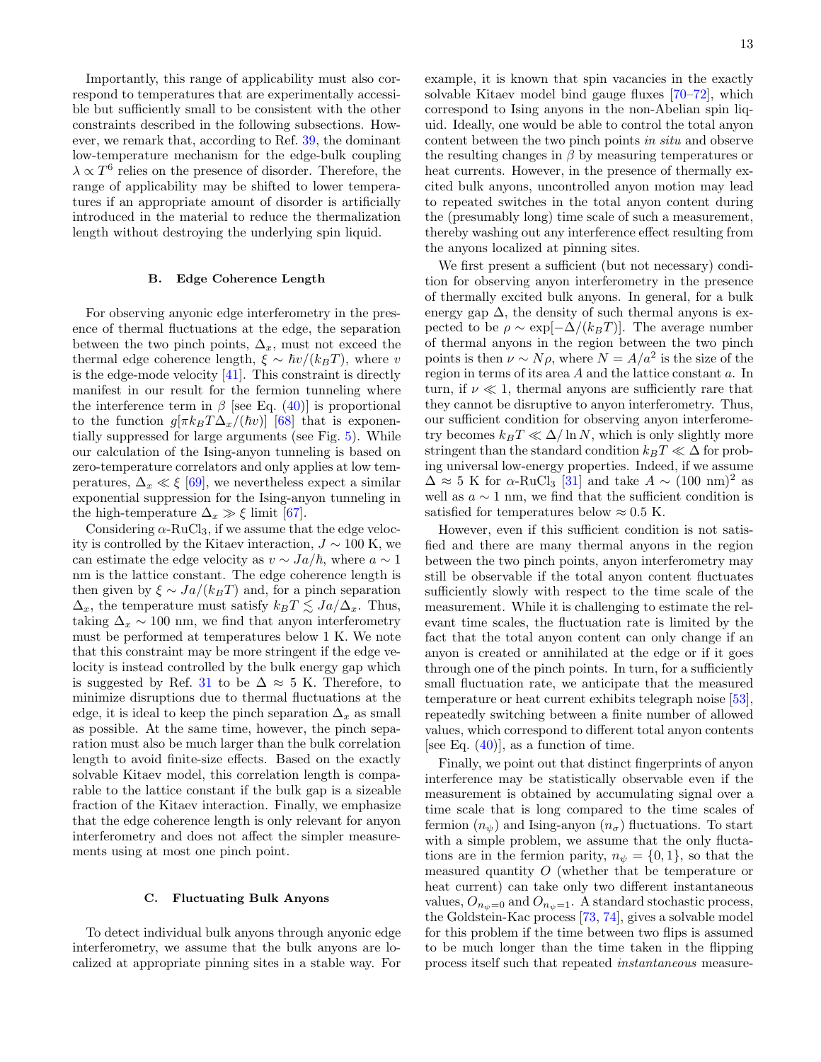Importantly, this range of applicability must also correspond to temperatures that are experimentally accessible but sufficiently small to be consistent with the other constraints described in the following subsections. However, we remark that, according to Ref. [39,](#page-16-3) the dominant low-temperature mechanism for the edge-bulk coupling  $\lambda \propto T^6$  relies on the presence of disorder. Therefore, the range of applicability may be shifted to lower temperatures if an appropriate amount of disorder is artificially introduced in the material to reduce the thermalization length without destroying the underlying spin liquid.

### <span id="page-12-0"></span>B. Edge Coherence Length

For observing anyonic edge interferometry in the presence of thermal fluctuations at the edge, the separation between the two pinch points,  $\Delta_x$ , must not exceed the thermal edge coherence length,  $\xi \sim \hbar v/(k_BT)$ , where v is the edge-mode velocity [\[41\]](#page-16-5). This constraint is directly manifest in our result for the fermion tunneling where the interference term in  $\beta$  [see Eq. [\(40\)](#page-11-3)] is proportional to the function  $g[\pi k_BT\Delta_x/(\hbar v)]$  [\[68\]](#page-16-22) that is exponentially suppressed for large arguments (see Fig. [5\)](#page-10-2). While our calculation of the Ising-anyon tunneling is based on zero-temperature correlators and only applies at low temperatures,  $\Delta_x \ll \xi$  [\[69\]](#page-16-23), we nevertheless expect a similar exponential suppression for the Ising-anyon tunneling in the high-temperature  $\Delta_x \gg \xi$  limit [\[67\]](#page-16-21).

Considering  $\alpha$ -RuCl<sub>3</sub>, if we assume that the edge velocity is controlled by the Kitaev interaction,  $J \sim 100$  K, we can estimate the edge velocity as  $v \sim Ja/\hbar$ , where  $a \sim 1$ nm is the lattice constant. The edge coherence length is then given by  $\xi \sim Ja/(k_BT)$  and, for a pinch separation  $\Delta_x$ , the temperature must satisfy  $k_BT \lesssim Ja/\Delta_x$ . Thus, taking  $\Delta_x \sim 100$  nm, we find that anyon interferometry must be performed at temperatures below 1 K. We note that this constraint may be more stringent if the edge velocity is instead controlled by the bulk energy gap which is suggested by Ref. [31](#page-15-6) to be  $\Delta \approx 5$  K. Therefore, to minimize disruptions due to thermal fluctuations at the edge, it is ideal to keep the pinch separation  $\Delta_x$  as small as possible. At the same time, however, the pinch separation must also be much larger than the bulk correlation length to avoid finite-size effects. Based on the exactly solvable Kitaev model, this correlation length is comparable to the lattice constant if the bulk gap is a sizeable fraction of the Kitaev interaction. Finally, we emphasize that the edge coherence length is only relevant for anyon interferometry and does not affect the simpler measurements using at most one pinch point.

# <span id="page-12-1"></span>C. Fluctuating Bulk Anyons

To detect individual bulk anyons through anyonic edge interferometry, we assume that the bulk anyons are localized at appropriate pinning sites in a stable way. For example, it is known that spin vacancies in the exactly solvable Kitaev model bind gauge fluxes [\[70](#page-16-24)[–72\]](#page-16-25), which correspond to Ising anyons in the non-Abelian spin liquid. Ideally, one would be able to control the total anyon content between the two pinch points in situ and observe the resulting changes in  $\beta$  by measuring temperatures or heat currents. However, in the presence of thermally excited bulk anyons, uncontrolled anyon motion may lead to repeated switches in the total anyon content during the (presumably long) time scale of such a measurement, thereby washing out any interference effect resulting from the anyons localized at pinning sites.

We first present a sufficient (but not necessary) condition for observing anyon interferometry in the presence of thermally excited bulk anyons. In general, for a bulk energy gap  $\Delta$ , the density of such thermal anyons is expected to be  $\rho \sim \exp[-\Delta/(k_BT)]$ . The average number of thermal anyons in the region between the two pinch points is then  $\nu \sim N\rho$ , where  $N = A/a^2$  is the size of the region in terms of its area A and the lattice constant a. In turn, if  $\nu \ll 1$ , thermal anyons are sufficiently rare that they cannot be disruptive to anyon interferometry. Thus, our sufficient condition for observing anyon interferometry becomes  $k_BT \ll \Delta/\ln N$ , which is only slightly more stringent than the standard condition  $k_BT \ll \Delta$  for probing universal low-energy properties. Indeed, if we assume  $\Delta \approx 5$  K for  $\alpha$ -RuCl<sub>3</sub> [\[31\]](#page-15-6) and take  $A \sim (100 \text{ nm})^2$  as well as  $a \sim 1$  nm, we find that the sufficient condition is satisfied for temperatures below  $\approx 0.5$  K.

However, even if this sufficient condition is not satisfied and there are many thermal anyons in the region between the two pinch points, anyon interferometry may still be observable if the total anyon content fluctuates sufficiently slowly with respect to the time scale of the measurement. While it is challenging to estimate the relevant time scales, the fluctuation rate is limited by the fact that the total anyon content can only change if an anyon is created or annihilated at the edge or if it goes through one of the pinch points. In turn, for a sufficiently small fluctuation rate, we anticipate that the measured temperature or heat current exhibits telegraph noise [\[53\]](#page-16-9), repeatedly switching between a finite number of allowed values, which correspond to different total anyon contents [see Eq.  $(40)$ ], as a function of time.

Finally, we point out that distinct fingerprints of anyon interference may be statistically observable even if the measurement is obtained by accumulating signal over a time scale that is long compared to the time scales of fermion  $(n_{\psi})$  and Ising-anyon  $(n_{\sigma})$  fluctuations. To start with a simple problem, we assume that the only fluctations are in the fermion parity,  $n_{\psi} = \{0, 1\}$ , so that the measured quantity O (whether that be temperature or heat current) can take only two different instantaneous values,  $O_{n_w=0}$  and  $O_{n_w=1}$ . A standard stochastic process, the Goldstein-Kac process [\[73,](#page-16-26) [74\]](#page-16-27), gives a solvable model for this problem if the time between two flips is assumed to be much longer than the time taken in the flipping process itself such that repeated instantaneous measure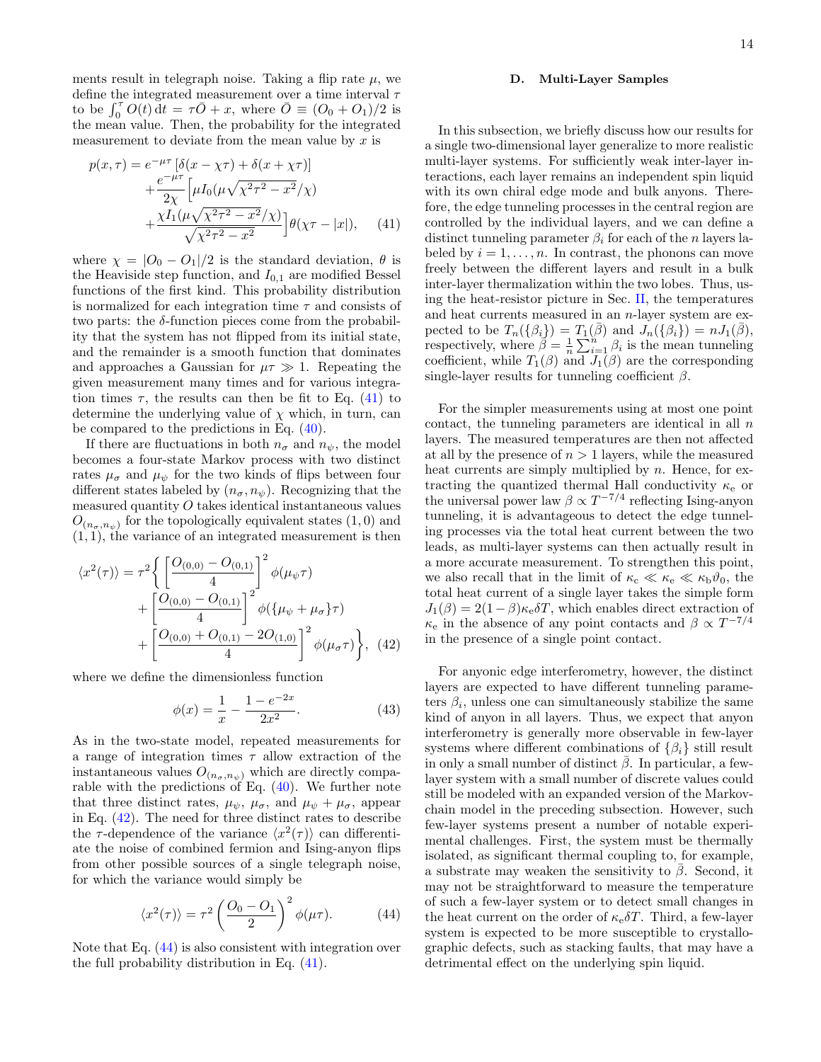ments result in telegraph noise. Taking a flip rate  $\mu$ , we define the integrated measurement over a time interval  $\tau$ to be  $\int_0^{\tau} O(t) dt = \tau \overline{O} + x$ , where  $\overline{O} = (O_0 + O_1)/2$  is the mean value. Then, the probability for the integrated measurement to deviate from the mean value by  $x$  is

<span id="page-13-1"></span>
$$
p(x,\tau) = e^{-\mu\tau} \left[ \delta(x - \chi\tau) + \delta(x + \chi\tau) \right] + \frac{e^{-\mu\tau}}{2\chi} \left[ \mu I_0 (\mu \sqrt{\chi^2 \tau^2 - x^2}/\chi) + \frac{\chi I_1 (\mu \sqrt{\chi^2 \tau^2 - x^2}/\chi)}{\sqrt{\chi^2 \tau^2 - x^2}} \right] \theta(\chi\tau - |x|), \quad (41)
$$

where  $\chi = |O_0 - O_1|/2$  is the standard deviation,  $\theta$  is the Heaviside step function, and  $I_{0,1}$  are modified Bessel functions of the first kind. This probability distribution is normalized for each integration time  $\tau$  and consists of two parts: the  $\delta$ -function pieces come from the probability that the system has not flipped from its initial state, and the remainder is a smooth function that dominates and approaches a Gaussian for  $\mu \tau \gg 1$ . Repeating the given measurement many times and for various integration times  $\tau$ , the results can then be fit to Eq. [\(41\)](#page-13-1) to determine the underlying value of  $\chi$  which, in turn, can be compared to the predictions in Eq. [\(40\)](#page-11-3).

If there are fluctuations in both  $n_{\sigma}$  and  $n_{\psi}$ , the model becomes a four-state Markov process with two distinct rates  $\mu_{\sigma}$  and  $\mu_{\psi}$  for the two kinds of flips between four different states labeled by  $(n_{\sigma}, n_{\psi})$ . Recognizing that the measured quantity  $O$  takes identical instantaneous values  $O_{(n_{\sigma},n_{\psi})}$  for the topologically equivalent states  $(1,0)$  and  $(1, 1)$ , the variance of an integrated measurement is then

<span id="page-13-2"></span>
$$
\langle x^2(\tau) \rangle = \tau^2 \left\{ \left[ \frac{O_{(0,0)} - O_{(0,1)}}{4} \right]^2 \phi(\mu_{\psi} \tau) + \left[ \frac{O_{(0,0)} - O_{(0,1)}}{4} \right]^2 \phi(\{\mu_{\psi} + \mu_{\sigma}\} \tau) + \left[ \frac{O_{(0,0)} + O_{(0,1)} - 2O_{(1,0)}}{4} \right]^2 \phi(\mu_{\sigma} \tau) \right\}, \tag{42}
$$

where we define the dimensionless function

$$
\phi(x) = \frac{1}{x} - \frac{1 - e^{-2x}}{2x^2}.
$$
\n(43)

As in the two-state model, repeated measurements for a range of integration times  $\tau$  allow extraction of the instantaneous values  $O_{(n_{\sigma},n_{\psi})}$  which are directly comparable with the predictions of Eq. [\(40\)](#page-11-3). We further note that three distinct rates,  $\mu_{\psi}$ ,  $\mu_{\sigma}$ , and  $\mu_{\psi} + \mu_{\sigma}$ , appear in Eq. [\(42\)](#page-13-2). The need for three distinct rates to describe the  $\tau$ -dependence of the variance  $\langle x^2(\tau) \rangle$  can differentiate the noise of combined fermion and Ising-anyon flips from other possible sources of a single telegraph noise, for which the variance would simply be

<span id="page-13-3"></span>
$$
\langle x^2(\tau) \rangle = \tau^2 \left( \frac{O_0 - O_1}{2} \right)^2 \phi(\mu \tau). \tag{44}
$$

Note that Eq. [\(44\)](#page-13-3) is also consistent with integration over the full probability distribution in Eq. [\(41\)](#page-13-1).

### <span id="page-13-0"></span>D. Multi-Layer Samples

In this subsection, we briefly discuss how our results for a single two-dimensional layer generalize to more realistic multi-layer systems. For sufficiently weak inter-layer interactions, each layer remains an independent spin liquid with its own chiral edge mode and bulk anyons. Therefore, the edge tunneling processes in the central region are controlled by the individual layers, and we can define a distinct tunneling parameter  $\beta_i$  for each of the n layers labeled by  $i = 1, \ldots, n$ . In contrast, the phonons can move freely between the different layers and result in a bulk inter-layer thermalization within the two lobes. Thus, using the heat-resistor picture in Sec. [II,](#page-2-0) the temperatures and heat currents measured in an n-layer system are expected to be  $T_n(\{\beta_i\}) = T_1(\overline{\beta})$  and  $J_n(\{\beta_i\}) = nJ_1(\overline{\beta}),$ respectively, where  $\beta = \frac{1}{n} \sum_{i=1}^{n} \beta_i$  is the mean tunneling coefficient, while  $T_1(\beta)$  and  $J_1(\beta)$  are the corresponding single-layer results for tunneling coefficient  $\beta$ .

For the simpler measurements using at most one point contact, the tunneling parameters are identical in all  $n$ layers. The measured temperatures are then not affected at all by the presence of  $n > 1$  layers, while the measured heat currents are simply multiplied by  $n$ . Hence, for extracting the quantized thermal Hall conductivity  $\kappa_{\rm e}$  or the universal power law  $\beta \propto T^{-7/4}$  reflecting Ising-anyon tunneling, it is advantageous to detect the edge tunneling processes via the total heat current between the two leads, as multi-layer systems can then actually result in a more accurate measurement. To strengthen this point, we also recall that in the limit of  $\kappa_c \ll \kappa_e \ll \kappa_b \vartheta_0$ , the total heat current of a single layer takes the simple form  $J_1(\beta) = 2(1-\beta)\kappa_e \delta T$ , which enables direct extraction of  $\kappa_e$  in the absence of any point contacts and  $\beta \propto T^{-7/4}$ in the presence of a single point contact.

For anyonic edge interferometry, however, the distinct layers are expected to have different tunneling parameters  $\beta_i$ , unless one can simultaneously stabilize the same kind of anyon in all layers. Thus, we expect that anyon interferometry is generally more observable in few-layer systems where different combinations of  $\{\beta_i\}$  still result in only a small number of distinct  $\beta$ . In particular, a fewlayer system with a small number of discrete values could still be modeled with an expanded version of the Markovchain model in the preceding subsection. However, such few-layer systems present a number of notable experimental challenges. First, the system must be thermally isolated, as significant thermal coupling to, for example, a substrate may weaken the sensitivity to  $\bar{\beta}$ . Second, it may not be straightforward to measure the temperature of such a few-layer system or to detect small changes in the heat current on the order of  $\kappa_e \delta T$ . Third, a few-layer system is expected to be more susceptible to crystallographic defects, such as stacking faults, that may have a detrimental effect on the underlying spin liquid.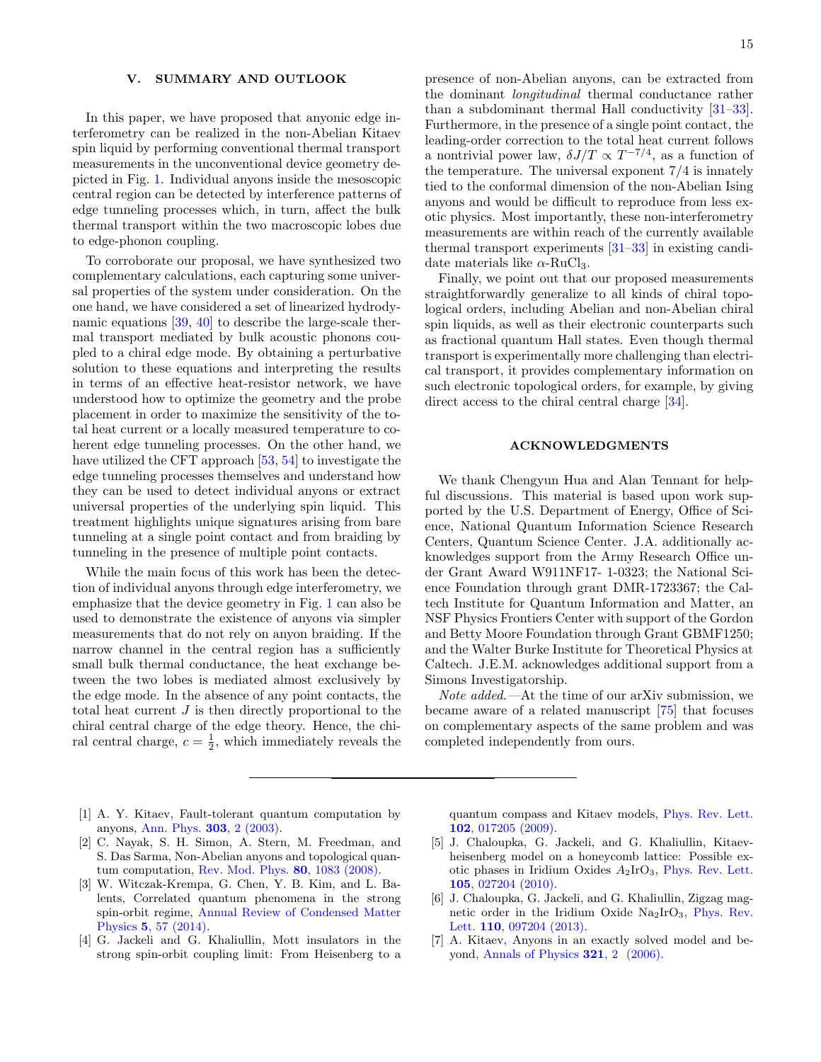# <span id="page-14-0"></span>V. SUMMARY AND OUTLOOK

In this paper, we have proposed that anyonic edge interferometry can be realized in the non-Abelian Kitaev spin liquid by performing conventional thermal transport measurements in the unconventional device geometry depicted in Fig. [1.](#page-1-0) Individual anyons inside the mesoscopic central region can be detected by interference patterns of edge tunneling processes which, in turn, affect the bulk thermal transport within the two macroscopic lobes due to edge-phonon coupling.

To corroborate our proposal, we have synthesized two complementary calculations, each capturing some universal properties of the system under consideration. On the one hand, we have considered a set of linearized hydrodynamic equations [\[39,](#page-16-3) [40\]](#page-16-4) to describe the large-scale thermal transport mediated by bulk acoustic phonons coupled to a chiral edge mode. By obtaining a perturbative solution to these equations and interpreting the results in terms of an effective heat-resistor network, we have understood how to optimize the geometry and the probe placement in order to maximize the sensitivity of the total heat current or a locally measured temperature to coherent edge tunneling processes. On the other hand, we have utilized the CFT approach [\[53,](#page-16-9) [54\]](#page-16-10) to investigate the edge tunneling processes themselves and understand how they can be used to detect individual anyons or extract universal properties of the underlying spin liquid. This treatment highlights unique signatures arising from bare tunneling at a single point contact and from braiding by tunneling in the presence of multiple point contacts.

While the main focus of this work has been the detection of individual anyons through edge interferometry, we emphasize that the device geometry in Fig. [1](#page-1-0) can also be used to demonstrate the existence of anyons via simpler measurements that do not rely on anyon braiding. If the narrow channel in the central region has a sufficiently small bulk thermal conductance, the heat exchange between the two lobes is mediated almost exclusively by the edge mode. In the absence of any point contacts, the total heat current J is then directly proportional to the chiral central charge of the edge theory. Hence, the chiral central charge,  $c = \frac{1}{2}$ , which immediately reveals the

presence of non-Abelian anyons, can be extracted from the dominant longitudinal thermal conductance rather than a subdominant thermal Hall conductivity [\[31–](#page-15-6)[33\]](#page-15-7). Furthermore, in the presence of a single point contact, the leading-order correction to the total heat current follows a nontrivial power law,  $\delta J/T \propto T^{-7/4}$ , as a function of the temperature. The universal exponent 7/4 is innately tied to the conformal dimension of the non-Abelian Ising anyons and would be difficult to reproduce from less exotic physics. Most importantly, these non-interferometry measurements are within reach of the currently available thermal transport experiments [\[31](#page-15-6)[–33\]](#page-15-7) in existing candidate materials like  $\alpha$ -RuCl<sub>3</sub>.

Finally, we point out that our proposed measurements straightforwardly generalize to all kinds of chiral topological orders, including Abelian and non-Abelian chiral spin liquids, as well as their electronic counterparts such as fractional quantum Hall states. Even though thermal transport is experimentally more challenging than electrical transport, it provides complementary information on such electronic topological orders, for example, by giving direct access to the chiral central charge [\[34\]](#page-15-8).

# <span id="page-14-1"></span>ACKNOWLEDGMENTS

We thank Chengyun Hua and Alan Tennant for helpful discussions. This material is based upon work supported by the U.S. Department of Energy, Office of Science, National Quantum Information Science Research Centers, Quantum Science Center. J.A. additionally acknowledges support from the Army Research Office under Grant Award W911NF17- 1-0323; the National Science Foundation through grant DMR-1723367; the Caltech Institute for Quantum Information and Matter, an NSF Physics Frontiers Center with support of the Gordon and Betty Moore Foundation through Grant GBMF1250; and the Walter Burke Institute for Theoretical Physics at Caltech. J.E.M. acknowledges additional support from a Simons Investigatorship.

<span id="page-14-2"></span>Note added.—At the time of our arXiv submission, we became aware of a related manuscript [\[75\]](#page-16-28) that focuses on complementary aspects of the same problem and was completed independently from ours.

- <span id="page-14-3"></span>[1] A. Y. Kitaev, Fault-tolerant quantum computation by anyons, [Ann. Phys.](https://doi.org/10.1016/S0003-4916(02)00018-0) 303, 2 (2003).
- <span id="page-14-4"></span>[2] C. Nayak, S. H. Simon, A. Stern, M. Freedman, and S. Das Sarma, Non-Abelian anyons and topological quantum computation, [Rev. Mod. Phys.](https://doi.org/10.1103/RevModPhys.80.1083) 80, 1083 (2008).
- <span id="page-14-5"></span>[3] W. Witczak-Krempa, G. Chen, Y. B. Kim, and L. Balents, Correlated quantum phenomena in the strong spin-orbit regime, [Annual Review of Condensed Matter](https://doi.org/10.1146/annurev-conmatphys-020911-125138) Physics 5[, 57 \(2014\).](https://doi.org/10.1146/annurev-conmatphys-020911-125138)
- <span id="page-14-6"></span>[4] G. Jackeli and G. Khaliullin, Mott insulators in the strong spin-orbit coupling limit: From Heisenberg to a

quantum compass and Kitaev models, [Phys. Rev. Lett.](https://doi.org/10.1103/PhysRevLett.102.017205) 102[, 017205 \(2009\).](https://doi.org/10.1103/PhysRevLett.102.017205)

- [5] J. Chaloupka, G. Jackeli, and G. Khaliullin, Kitaevheisenberg model on a honeycomb lattice: Possible exotic phases in Iridium Oxides A2IrO3, [Phys. Rev. Lett.](https://doi.org/10.1103/PhysRevLett.105.027204) 105[, 027204 \(2010\).](https://doi.org/10.1103/PhysRevLett.105.027204)
- <span id="page-14-7"></span>[6] J. Chaloupka, G. Jackeli, and G. Khaliullin, Zigzag magnetic order in the Iridium Oxide  $Na<sub>2</sub>IrO<sub>3</sub>$ , [Phys. Rev.](https://doi.org/10.1103/PhysRevLett.110.097204) Lett. 110[, 097204 \(2013\).](https://doi.org/10.1103/PhysRevLett.110.097204)
- <span id="page-14-8"></span>[7] A. Kitaev, Anyons in an exactly solved model and beyond, [Annals of Physics](https://doi.org/10.1016/j.aop.2005.10.005) 321, 2 (2006).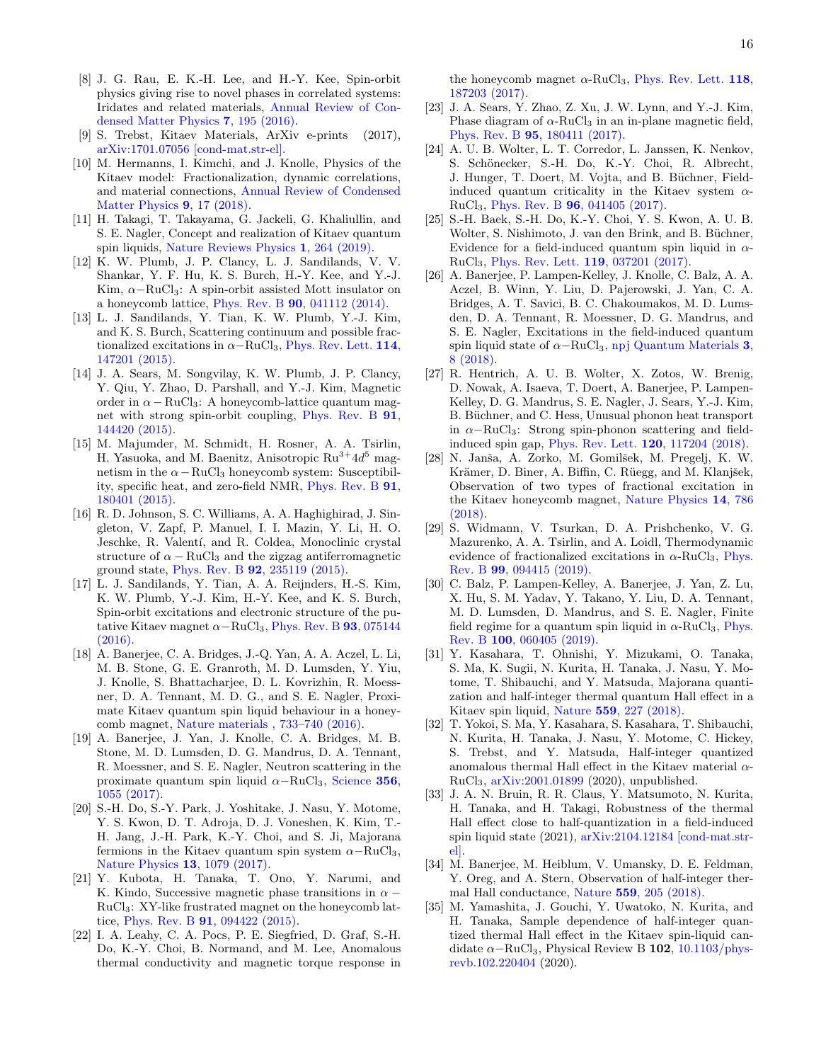- <span id="page-15-0"></span>[8] J. G. Rau, E. K.-H. Lee, and H.-Y. Kee, Spin-orbit physics giving rise to novel phases in correlated systems: Iridates and related materials, [Annual Review of Con](https://doi.org/10.1146/annurev-conmatphys-031115-011319)[densed Matter Physics](https://doi.org/10.1146/annurev-conmatphys-031115-011319) 7, 195 (2016).
- [9] S. Trebst, Kitaev Materials, ArXiv e-prints (2017), [arXiv:1701.07056 \[cond-mat.str-el\].](https://arxiv.org/abs/1701.07056)
- [10] M. Hermanns, I. Kimchi, and J. Knolle, Physics of the Kitaev model: Fractionalization, dynamic correlations, and material connections, [Annual Review of Condensed](https://doi.org/10.1146/annurev-conmatphys-033117-053934) [Matter Physics](https://doi.org/10.1146/annurev-conmatphys-033117-053934) 9, 17 (2018).
- <span id="page-15-1"></span>[11] H. Takagi, T. Takayama, G. Jackeli, G. Khaliullin, and S. E. Nagler, Concept and realization of Kitaev quantum spin liquids, [Nature Reviews Physics](https://doi.org/10.1038/s42254-019-0038-2) 1, 264 (2019).
- <span id="page-15-2"></span>[12] K. W. Plumb, J. P. Clancy, L. J. Sandilands, V. V. Shankar, Y. F. Hu, K. S. Burch, H.-Y. Kee, and Y.-J. Kim,  $\alpha$ -RuCl<sub>3</sub>: A spin-orbit assisted Mott insulator on a honeycomb lattice, Phys. Rev. B 90[, 041112 \(2014\).](https://doi.org/10.1103/PhysRevB.90.041112)
- [13] L. J. Sandilands, Y. Tian, K. W. Plumb, Y.-J. Kim, and K. S. Burch, Scattering continuum and possible fractionalized excitations in  $\alpha$ -RuCl<sub>3</sub>, [Phys. Rev. Lett.](https://doi.org/10.1103/PhysRevLett.114.147201) 114, [147201 \(2015\).](https://doi.org/10.1103/PhysRevLett.114.147201)
- [14] J. A. Sears, M. Songvilay, K. W. Plumb, J. P. Clancy, Y. Qiu, Y. Zhao, D. Parshall, and Y.-J. Kim, Magnetic order in  $\alpha$  – RuCl<sub>3</sub>: A honeycomb-lattice quantum magnet with strong spin-orbit coupling, [Phys. Rev. B](https://doi.org/10.1103/PhysRevB.91.144420) 91, [144420 \(2015\).](https://doi.org/10.1103/PhysRevB.91.144420)
- [15] M. Majumder, M. Schmidt, H. Rosner, A. A. Tsirlin, H. Yasuoka, and M. Baenitz, Anisotropic  $Ru^{3+}4d^5$  magnetism in the  $\alpha-\text{RuCl}_3$  honeycomb system: Susceptibility, specific heat, and zero-field NMR, [Phys. Rev. B](https://doi.org/10.1103/PhysRevB.91.180401) 91, [180401 \(2015\).](https://doi.org/10.1103/PhysRevB.91.180401)
- [16] R. D. Johnson, S. C. Williams, A. A. Haghighirad, J. Singleton, V. Zapf, P. Manuel, I. I. Mazin, Y. Li, H. O. Jeschke, R. Valentí, and R. Coldea, Monoclinic crystal structure of  $\alpha - \text{RuCl}_3$  and the zigzag antiferromagnetic ground state, Phys. Rev. B 92[, 235119 \(2015\).](https://doi.org/10.1103/PhysRevB.92.235119)
- [17] L. J. Sandilands, Y. Tian, A. A. Reijnders, H.-S. Kim, K. W. Plumb, Y.-J. Kim, H.-Y. Kee, and K. S. Burch, Spin-orbit excitations and electronic structure of the putative Kitaev magnet  $\alpha-\text{RuCl}_3$ , [Phys. Rev. B](https://doi.org/10.1103/PhysRevB.93.075144) 93, 075144 [\(2016\).](https://doi.org/10.1103/PhysRevB.93.075144)
- [18] A. Banerjee, C. A. Bridges, J.-Q. Yan, A. A. Aczel, L. Li, M. B. Stone, G. E. Granroth, M. D. Lumsden, Y. Yiu, J. Knolle, S. Bhattacharjee, D. L. Kovrizhin, R. Moessner, D. A. Tennant, M. D. G., and S. E. Nagler, Proximate Kitaev quantum spin liquid behaviour in a honeycomb magnet, [Nature materials , 733–740 \(2016\).](https://doi.org/10.1038/nmat4604)
- [19] A. Banerjee, J. Yan, J. Knolle, C. A. Bridges, M. B. Stone, M. D. Lumsden, D. G. Mandrus, D. A. Tennant, R. Moessner, and S. E. Nagler, Neutron scattering in the proximate quantum spin liquid  $\alpha-\text{RuCl}_3$ , [Science](https://doi.org/10.1126/science.aah6015) 356, [1055 \(2017\).](https://doi.org/10.1126/science.aah6015)
- <span id="page-15-3"></span>[20] S.-H. Do, S.-Y. Park, J. Yoshitake, J. Nasu, Y. Motome, Y. S. Kwon, D. T. Adroja, D. J. Voneshen, K. Kim, T.- H. Jang, J.-H. Park, K.-Y. Choi, and S. Ji, Majorana fermions in the Kitaev quantum spin system  $\alpha-\text{RuCl}_3$ , [Nature Physics](https://doi.org/10.1038/nphys4264) 13, 1079 (2017).
- <span id="page-15-4"></span>[21] Y. Kubota, H. Tanaka, T. Ono, Y. Narumi, and K. Kindo, Successive magnetic phase transitions in  $\alpha$  − RuCl3: XY-like frustrated magnet on the honeycomb lattice, Phys. Rev. B 91[, 094422 \(2015\).](https://doi.org/10.1103/PhysRevB.91.094422)
- [22] I. A. Leahy, C. A. Pocs, P. E. Siegfried, D. Graf, S.-H. Do, K.-Y. Choi, B. Normand, and M. Lee, Anomalous thermal conductivity and magnetic torque response in

the honeycomb magnet  $\alpha$ -RuCl<sub>3</sub>, [Phys. Rev. Lett.](https://doi.org/10.1103/PhysRevLett.118.187203) 118, [187203 \(2017\).](https://doi.org/10.1103/PhysRevLett.118.187203)

- [23] J. A. Sears, Y. Zhao, Z. Xu, J. W. Lynn, and Y.-J. Kim, Phase diagram of  $\alpha$ -RuCl<sub>3</sub> in an in-plane magnetic field, Phys. Rev. B 95[, 180411 \(2017\).](https://doi.org/10.1103/PhysRevB.95.180411)
- [24] A. U. B. Wolter, L. T. Corredor, L. Janssen, K. Nenkov, S. Schönecker, S.-H. Do, K.-Y. Choi, R. Albrecht, J. Hunger, T. Doert, M. Vojta, and B. Büchner, Fieldinduced quantum criticality in the Kitaev system  $\alpha$ -RuCl3, Phys. Rev. B 96[, 041405 \(2017\).](https://doi.org/10.1103/PhysRevB.96.041405)
- [25] S.-H. Baek, S.-H. Do, K.-Y. Choi, Y. S. Kwon, A. U. B. Wolter, S. Nishimoto, J. van den Brink, and B. Büchner, Evidence for a field-induced quantum spin liquid in  $\alpha$ -RuCl3, [Phys. Rev. Lett.](https://doi.org/10.1103/PhysRevLett.119.037201) 119, 037201 (2017).
- [26] A. Banerjee, P. Lampen-Kelley, J. Knolle, C. Balz, A. A. Aczel, B. Winn, Y. Liu, D. Pajerowski, J. Yan, C. A. Bridges, A. T. Savici, B. C. Chakoumakos, M. D. Lumsden, D. A. Tennant, R. Moessner, D. G. Mandrus, and S. E. Nagler, Excitations in the field-induced quantum spin liquid state of  $\alpha$ −RuCl<sub>3</sub>, [npj Quantum Materials](https://doi.org/10.1038/s41535-018-0079-2) 3, [8 \(2018\).](https://doi.org/10.1038/s41535-018-0079-2)
- [27] R. Hentrich, A. U. B. Wolter, X. Zotos, W. Brenig, D. Nowak, A. Isaeva, T. Doert, A. Banerjee, P. Lampen-Kelley, D. G. Mandrus, S. E. Nagler, J. Sears, Y.-J. Kim, B. Büchner, and C. Hess, Unusual phonon heat transport in  $\alpha$ -RuCl<sub>3</sub>: Strong spin-phonon scattering and fieldinduced spin gap, [Phys. Rev. Lett.](https://doi.org/10.1103/PhysRevLett.120.117204) 120, 117204 (2018).
- [28] N. Janša, A. Zorko, M. Gomilšek, M. Pregelj, K. W. Krämer, D. Biner, A. Biffin, C. Rüegg, and M. Klanjšek, Observation of two types of fractional excitation in the Kitaev honeycomb magnet, [Nature Physics](https://doi.org/10.1038/s41567-018-0129-5) 14, 786 [\(2018\).](https://doi.org/10.1038/s41567-018-0129-5)
- [29] S. Widmann, V. Tsurkan, D. A. Prishchenko, V. G. Mazurenko, A. A. Tsirlin, and A. Loidl, Thermodynamic evidence of fractionalized excitations in  $\alpha$ -RuCl<sub>3</sub>, [Phys.](https://doi.org/10.1103/PhysRevB.99.094415) Rev. B 99[, 094415 \(2019\).](https://doi.org/10.1103/PhysRevB.99.094415)
- <span id="page-15-5"></span>[30] C. Balz, P. Lampen-Kelley, A. Banerjee, J. Yan, Z. Lu, X. Hu, S. M. Yadav, Y. Takano, Y. Liu, D. A. Tennant, M. D. Lumsden, D. Mandrus, and S. E. Nagler, Finite field regime for a quantum spin liquid in  $\alpha$ -RuCl<sub>3</sub>, [Phys.](https://doi.org/10.1103/PhysRevB.100.060405) Rev. B 100[, 060405 \(2019\).](https://doi.org/10.1103/PhysRevB.100.060405)
- <span id="page-15-6"></span>[31] Y. Kasahara, T. Ohnishi, Y. Mizukami, O. Tanaka, S. Ma, K. Sugii, N. Kurita, H. Tanaka, J. Nasu, Y. Motome, T. Shibauchi, and Y. Matsuda, Majorana quantization and half-integer thermal quantum Hall effect in a Kitaev spin liquid, Nature 559[, 227 \(2018\).](https://doi.org/10.1038/s41586-018-0274-0)
- [32] T. Yokoi, S. Ma, Y. Kasahara, S. Kasahara, T. Shibauchi, N. Kurita, H. Tanaka, J. Nasu, Y. Motome, C. Hickey, S. Trebst, and Y. Matsuda, Half-integer quantized anomalous thermal Hall effect in the Kitaev material  $\alpha$ -RuCl3, [arXiv:2001.01899](https://arxiv.org/abs/2001.01899) (2020), unpublished.
- <span id="page-15-7"></span>[33] J. A. N. Bruin, R. R. Claus, Y. Matsumoto, N. Kurita, H. Tanaka, and H. Takagi, Robustness of the thermal Hall effect close to half-quantization in a field-induced spin liquid state (2021), [arXiv:2104.12184 \[cond-mat.str](https://arxiv.org/abs/2104.12184)[el\].](https://arxiv.org/abs/2104.12184)
- <span id="page-15-8"></span>[34] M. Banerjee, M. Heiblum, V. Umansky, D. E. Feldman, Y. Oreg, and A. Stern, Observation of half-integer thermal Hall conductance, Nature 559[, 205 \(2018\).](https://doi.org/10.1038/s41586-018-0184-1)
- <span id="page-15-9"></span>[35] M. Yamashita, J. Gouchi, Y. Uwatoko, N. Kurita, and H. Tanaka, Sample dependence of half-integer quantized thermal Hall effect in the Kitaev spin-liquid candidate  $\alpha$ –RuCl<sub>3</sub>, Physical Review B 102, [10.1103/phys](https://doi.org/10.1103/physrevb.102.220404)[revb.102.220404](https://doi.org/10.1103/physrevb.102.220404) (2020).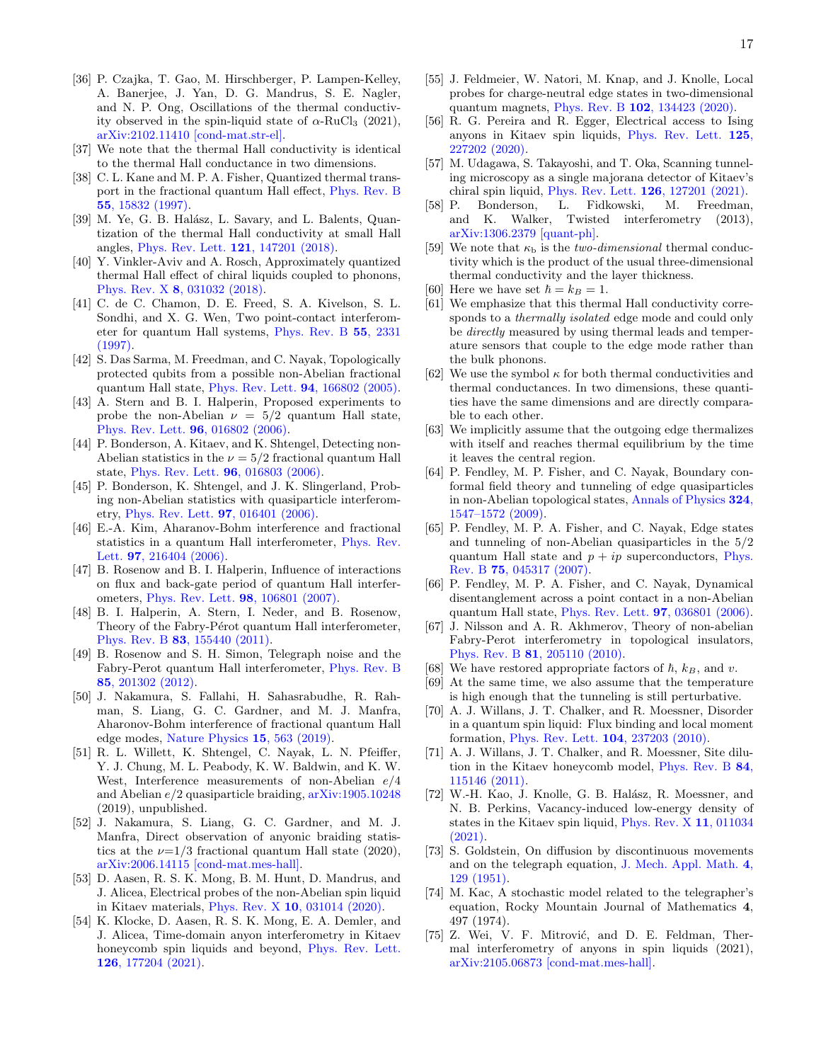- <span id="page-16-0"></span>[36] P. Czajka, T. Gao, M. Hirschberger, P. Lampen-Kelley, A. Banerjee, J. Yan, D. G. Mandrus, S. E. Nagler, and N. P. Ong, Oscillations of the thermal conductivity observed in the spin-liquid state of  $\alpha$ -RuCl<sub>3</sub> (2021), [arXiv:2102.11410 \[cond-mat.str-el\].](https://arxiv.org/abs/2102.11410)
- <span id="page-16-1"></span>[37] We note that the thermal Hall conductivity is identical to the thermal Hall conductance in two dimensions.
- <span id="page-16-2"></span>[38] C. L. Kane and M. P. A. Fisher, Quantized thermal transport in the fractional quantum Hall effect, [Phys. Rev. B](https://doi.org/10.1103/PhysRevB.55.15832) 55[, 15832 \(1997\).](https://doi.org/10.1103/PhysRevB.55.15832)
- <span id="page-16-3"></span>[39] M. Ye, G. B. Halász, L. Savary, and L. Balents, Quantization of the thermal Hall conductivity at small Hall angles, [Phys. Rev. Lett.](https://doi.org/10.1103/PhysRevLett.121.147201) 121, 147201 (2018).
- <span id="page-16-4"></span>[40] Y. Vinkler-Aviv and A. Rosch, Approximately quantized thermal Hall effect of chiral liquids coupled to phonons, Phys. Rev. X 8[, 031032 \(2018\).](https://doi.org/10.1103/PhysRevX.8.031032)
- <span id="page-16-5"></span>[41] C. de C. Chamon, D. E. Freed, S. A. Kivelson, S. L. Sondhi, and X. G. Wen, Two point-contact interferometer for quantum Hall systems, [Phys. Rev. B](https://doi.org/10.1103/PhysRevB.55.2331) 55, 2331 [\(1997\).](https://doi.org/10.1103/PhysRevB.55.2331)
- [42] S. Das Sarma, M. Freedman, and C. Nayak, Topologically protected qubits from a possible non-Abelian fractional quantum Hall state, [Phys. Rev. Lett.](https://doi.org/10.1103/PhysRevLett.94.166802) 94, 166802 (2005).
- [43] A. Stern and B. I. Halperin, Proposed experiments to probe the non-Abelian  $\nu = 5/2$  quantum Hall state, [Phys. Rev. Lett.](https://doi.org/10.1103/PhysRevLett.96.016802) 96, 016802 (2006).
- [44] P. Bonderson, A. Kitaev, and K. Shtengel, Detecting non-Abelian statistics in the  $\nu = 5/2$  fractional quantum Hall state, [Phys. Rev. Lett.](https://doi.org/10.1103/PhysRevLett.96.016803) 96, 016803 (2006).
- [45] P. Bonderson, K. Shtengel, and J. K. Slingerland, Probing non-Abelian statistics with quasiparticle interferometry, [Phys. Rev. Lett.](https://doi.org/10.1103/PhysRevLett.97.016401) 97, 016401 (2006).
- [46] E.-A. Kim, Aharanov-Bohm interference and fractional statistics in a quantum Hall interferometer, [Phys. Rev.](https://doi.org/10.1103/PhysRevLett.97.216404) Lett. **97.** 216404 (2006).
- [47] B. Rosenow and B. I. Halperin, Influence of interactions on flux and back-gate period of quantum Hall interferometers, [Phys. Rev. Lett.](https://doi.org/10.1103/PhysRevLett.98.106801) 98, 106801 (2007).
- [48] B. I. Halperin, A. Stern, I. Neder, and B. Rosenow, Theory of the Fabry-Pérot quantum Hall interferometer, Phys. Rev. B 83[, 155440 \(2011\).](https://doi.org/10.1103/PhysRevB.83.155440)
- <span id="page-16-6"></span>[49] B. Rosenow and S. H. Simon, Telegraph noise and the Fabry-Perot quantum Hall interferometer, [Phys. Rev. B](https://doi.org/10.1103/PhysRevB.85.201302) 85[, 201302 \(2012\).](https://doi.org/10.1103/PhysRevB.85.201302)
- <span id="page-16-7"></span>[50] J. Nakamura, S. Fallahi, H. Sahasrabudhe, R. Rahman, S. Liang, G. C. Gardner, and M. J. Manfra, Aharonov-Bohm interference of fractional quantum Hall edge modes, [Nature Physics](https://doi.org/10.1038/s41567-019-0441-8) 15, 563 (2019).
- [51] R. L. Willett, K. Shtengel, C. Nayak, L. N. Pfeiffer, Y. J. Chung, M. L. Peabody, K. W. Baldwin, and K. W. West, Interference measurements of non-Abelian e/4 and Abelian e/2 quasiparticle braiding, [arXiv:1905.10248](https://arxiv.org/abs/1905.10248) (2019), unpublished.
- <span id="page-16-8"></span>[52] J. Nakamura, S. Liang, G. C. Gardner, and M. J. Manfra, Direct observation of anyonic braiding statistics at the  $\nu=1/3$  fractional quantum Hall state (2020), [arXiv:2006.14115 \[cond-mat.mes-hall\].](https://arxiv.org/abs/2006.14115)
- <span id="page-16-9"></span>[53] D. Aasen, R. S. K. Mong, B. M. Hunt, D. Mandrus, and J. Alicea, Electrical probes of the non-Abelian spin liquid in Kitaev materials, Phys. Rev. X 10[, 031014 \(2020\).](https://doi.org/10.1103/PhysRevX.10.031014)
- <span id="page-16-10"></span>[54] K. Klocke, D. Aasen, R. S. K. Mong, E. A. Demler, and J. Alicea, Time-domain anyon interferometry in Kitaev honeycomb spin liquids and beyond, [Phys. Rev. Lett.](https://doi.org/10.1103/PhysRevLett.126.177204) 126[, 177204 \(2021\).](https://doi.org/10.1103/PhysRevLett.126.177204)
- <span id="page-16-11"></span>[55] J. Feldmeier, W. Natori, M. Knap, and J. Knolle, Local probes for charge-neutral edge states in two-dimensional quantum magnets, Phys. Rev. B 102[, 134423 \(2020\).](https://doi.org/10.1103/PhysRevB.102.134423)
- [56] R. G. Pereira and R. Egger, Electrical access to Ising anyons in Kitaev spin liquids, [Phys. Rev. Lett.](https://doi.org/10.1103/PhysRevLett.125.227202) 125, [227202 \(2020\).](https://doi.org/10.1103/PhysRevLett.125.227202)
- <span id="page-16-12"></span>[57] M. Udagawa, S. Takayoshi, and T. Oka, Scanning tunneling microscopy as a single majorana detector of Kitaev's chiral spin liquid, [Phys. Rev. Lett.](https://doi.org/10.1103/PhysRevLett.126.127201) 126, 127201 (2021).
- <span id="page-16-13"></span>[58] P. Bonderson, L. Fidkowski, M. Freedman, and K. Walker, Twisted interferometry (2013), [arXiv:1306.2379 \[quant-ph\].](https://arxiv.org/abs/1306.2379)
- <span id="page-16-14"></span>[59] We note that  $\kappa_b$  is the *two-dimensional* thermal conductivity which is the product of the usual three-dimensional thermal conductivity and the layer thickness.
- <span id="page-16-15"></span>[60] Here we have set  $\hbar = k_B = 1$ .
- <span id="page-16-16"></span>[61] We emphasize that this thermal Hall conductivity corresponds to a *thermally isolated* edge mode and could only be directly measured by using thermal leads and temperature sensors that couple to the edge mode rather than the bulk phonons.
- <span id="page-16-17"></span>[62] We use the symbol  $\kappa$  for both thermal conductivities and thermal conductances. In two dimensions, these quantities have the same dimensions and are directly comparable to each other.
- <span id="page-16-18"></span>[63] We implicitly assume that the outgoing edge thermalizes with itself and reaches thermal equilibrium by the time it leaves the central region.
- <span id="page-16-19"></span>[64] P. Fendley, M. P. Fisher, and C. Nayak, Boundary conformal field theory and tunneling of edge quasiparticles in non-Abelian topological states, [Annals of Physics](https://doi.org/10.1016/j.aop.2009.03.005) 324, [1547–1572 \(2009\).](https://doi.org/10.1016/j.aop.2009.03.005)
- [65] P. Fendley, M. P. A. Fisher, and C. Nayak, Edge states and tunneling of non-Abelian quasiparticles in the 5/2 quantum Hall state and  $p + ip$  superconductors, [Phys.](https://doi.org/10.1103/PhysRevB.75.045317) Rev. B 75[, 045317 \(2007\).](https://doi.org/10.1103/PhysRevB.75.045317)
- <span id="page-16-20"></span>[66] P. Fendley, M. P. A. Fisher, and C. Nayak, Dynamical disentanglement across a point contact in a non-Abelian quantum Hall state, [Phys. Rev. Lett.](https://doi.org/10.1103/PhysRevLett.97.036801) 97, 036801 (2006).
- <span id="page-16-21"></span>[67] J. Nilsson and A. R. Akhmerov, Theory of non-abelian Fabry-Perot interferometry in topological insulators, Phys. Rev. B 81[, 205110 \(2010\).](https://doi.org/10.1103/PhysRevB.81.205110)
- <span id="page-16-22"></span>[68] We have restored appropriate factors of  $\hbar$ ,  $k_B$ , and v.
- <span id="page-16-23"></span>[69] At the same time, we also assume that the temperature is high enough that the tunneling is still perturbative.
- <span id="page-16-24"></span>[70] A. J. Willans, J. T. Chalker, and R. Moessner, Disorder in a quantum spin liquid: Flux binding and local moment formation, [Phys. Rev. Lett.](https://doi.org/10.1103/PhysRevLett.104.237203) 104, 237203 (2010).
- [71] A. J. Willans, J. T. Chalker, and R. Moessner, Site dilution in the Kitaev honeycomb model, [Phys. Rev. B](https://doi.org/10.1103/PhysRevB.84.115146) 84, [115146 \(2011\).](https://doi.org/10.1103/PhysRevB.84.115146)
- <span id="page-16-25"></span>[72] W.-H. Kao, J. Knolle, G. B. Halász, R. Moessner, and N. B. Perkins, Vacancy-induced low-energy density of states in the Kitaev spin liquid, [Phys. Rev. X](https://doi.org/10.1103/PhysRevX.11.011034) 11, 011034 [\(2021\).](https://doi.org/10.1103/PhysRevX.11.011034)
- <span id="page-16-26"></span>[73] S. Goldstein, On diffusion by discontinuous movements and on the telegraph equation, [J. Mech. Appl. Math.](https://doi.org/10.1093/qjmam/4.2.129) 4, [129 \(1951\).](https://doi.org/10.1093/qjmam/4.2.129)
- <span id="page-16-27"></span>[74] M. Kac, A stochastic model related to the telegrapher's equation, Rocky Mountain Journal of Mathematics 4, 497 (1974).
- <span id="page-16-28"></span>[75] Z. Wei, V. F. Mitrović, and D. E. Feldman, Thermal interferometry of anyons in spin liquids (2021), [arXiv:2105.06873 \[cond-mat.mes-hall\].](https://arxiv.org/abs/2105.06873)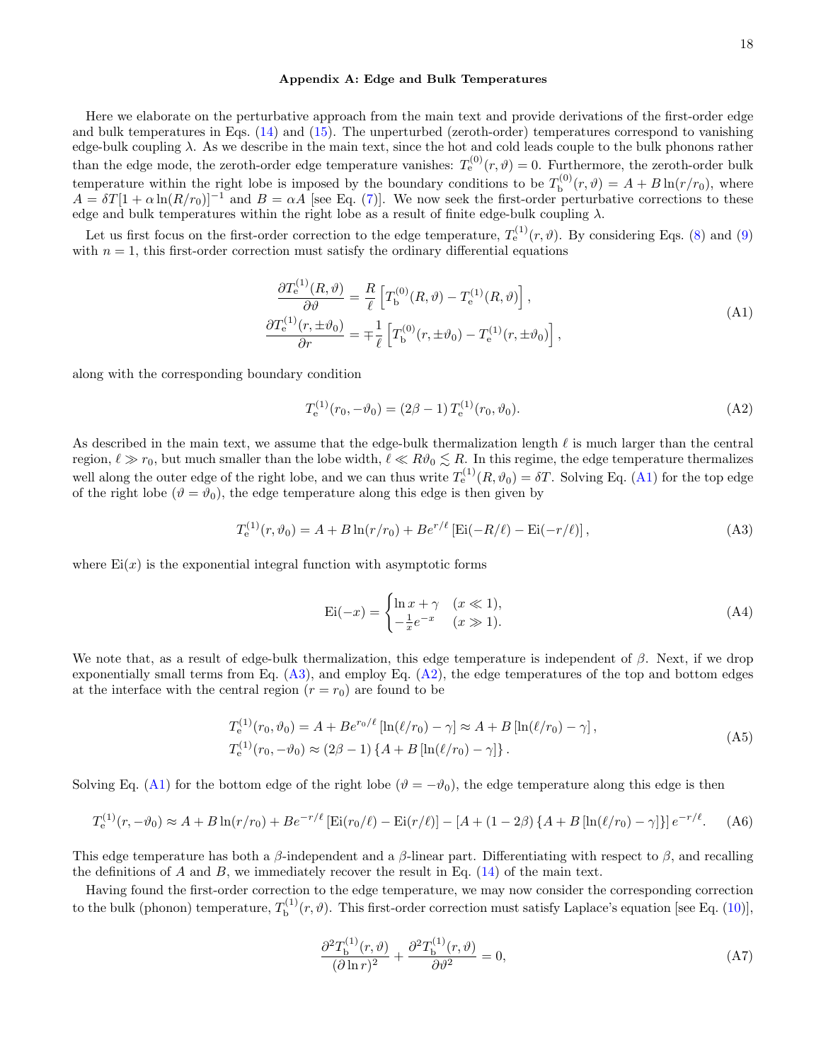### <span id="page-17-0"></span>Appendix A: Edge and Bulk Temperatures

Here we elaborate on the perturbative approach from the main text and provide derivations of the first-order edge and bulk temperatures in Eqs. [\(14\)](#page-5-4) and [\(15\)](#page-5-5). The unperturbed (zeroth-order) temperatures correspond to vanishing edge-bulk coupling  $\lambda$ . As we describe in the main text, since the hot and cold leads couple to the bulk phonons rather than the edge mode, the zeroth-order edge temperature vanishes:  $T_e^{(0)}(r, \vartheta) = 0$ . Furthermore, the zeroth-order bulk temperature within the right lobe is imposed by the boundary conditions to be  $T_{\rm b}^{(0)}$  $b_{\rm b}^{(0)}(r,\vartheta) = A + B\ln(r/r_0)$ , where  $A = \delta T[1 + \alpha \ln(R/r_0)]^{-1}$  and  $B = \alpha A$  [see Eq. [\(7\)](#page-4-3)]. We now seek the first-order perturbative corrections to these edge and bulk temperatures within the right lobe as a result of finite edge-bulk coupling  $\lambda$ .

Let us first focus on the first-order correction to the edge temperature,  $T_e^{(1)}(r, \vartheta)$ . By considering Eqs. [\(8\)](#page-5-0) and [\(9\)](#page-5-1) with  $n = 1$ , this first-order correction must satisfy the ordinary differential equations

<span id="page-17-1"></span>
$$
\frac{\partial T_{\mathbf{e}}^{(1)}(R,\vartheta)}{\partial \vartheta} = \frac{R}{\ell} \left[ T_{\mathbf{b}}^{(0)}(R,\vartheta) - T_{\mathbf{e}}^{(1)}(R,\vartheta) \right],
$$
\n
$$
\frac{\partial T_{\mathbf{e}}^{(1)}(r,\pm\vartheta_0)}{\partial r} = \mp \frac{1}{\ell} \left[ T_{\mathbf{b}}^{(0)}(r,\pm\vartheta_0) - T_{\mathbf{e}}^{(1)}(r,\pm\vartheta_0) \right],
$$
\n(A1)

along with the corresponding boundary condition

<span id="page-17-3"></span>
$$
T_e^{(1)}(r_0, -\vartheta_0) = (2\beta - 1) T_e^{(1)}(r_0, \vartheta_0).
$$
 (A2)

As described in the main text, we assume that the edge-bulk thermalization length  $\ell$  is much larger than the central region,  $\ell \gg r_0$ , but much smaller than the lobe width,  $\ell \ll R\vartheta_0 \lesssim R$ . In this regime, the edge temperature thermalizes well along the outer edge of the right lobe, and we can thus write  $T_e^{(1)}(R, \vartheta_0) = \delta T$ . Solving Eq. [\(A1\)](#page-17-1) for the top edge of the right lobe  $(\vartheta = \vartheta_0)$ , the edge temperature along this edge is then given by

<span id="page-17-2"></span>
$$
T_e^{(1)}(r,\vartheta_0) = A + B \ln(r/r_0) + B e^{r/\ell} \left[ \text{Ei}(-R/\ell) - \text{Ei}(-r/\ell) \right],\tag{A3}
$$

where  $Ei(x)$  is the exponential integral function with asymptotic forms

$$
\operatorname{Ei}(-x) = \begin{cases} \ln x + \gamma & (x \ll 1), \\ -\frac{1}{x}e^{-x} & (x \gg 1). \end{cases} \tag{A4}
$$

We note that, as a result of edge-bulk thermalization, this edge temperature is independent of  $\beta$ . Next, if we drop exponentially small terms from Eq.  $(A3)$ , and employ Eq.  $(A2)$ , the edge temperatures of the top and bottom edges at the interface with the central region  $(r = r_0)$  are found to be

$$
T_e^{(1)}(r_0, \vartheta_0) = A + Be^{r_0/\ell} \left[ \ln(\ell/r_0) - \gamma \right] \approx A + B \left[ \ln(\ell/r_0) - \gamma \right],
$$
  
\n
$$
T_e^{(1)}(r_0, -\vartheta_0) \approx (2\beta - 1) \left\{ A + B \left[ \ln(\ell/r_0) - \gamma \right] \right\}.
$$
\n(A5)

Solving Eq. [\(A1\)](#page-17-1) for the bottom edge of the right lobe  $(\vartheta = -\vartheta_0)$ , the edge temperature along this edge is then

$$
T_e^{(1)}(r, -\vartheta_0) \approx A + B \ln(r/r_0) + B e^{-r/\ell} \left[ \text{Ei}(r_0/\ell) - \text{Ei}(r/\ell) \right] - \left[ A + (1 - 2\beta) \left\{ A + B \left[ \ln(\ell/r_0) - \gamma \right] \right\} \right] e^{-r/\ell}.
$$
 (A6)

This edge temperature has both a  $\beta$ -independent and a  $\beta$ -linear part. Differentiating with respect to  $\beta$ , and recalling the definitions of  $A$  and  $B$ , we immediately recover the result in Eq. [\(14\)](#page-5-4) of the main text.

Having found the first-order correction to the edge temperature, we may now consider the corresponding correction to the bulk (phonon) temperature,  $T_{\rm b}^{(1)}$  $b^{(1)}(r,\vartheta)$ . This first-order correction must satisfy Laplace's equation [see Eq. [\(10\)](#page-5-2)],

$$
\frac{\partial^2 T_{\mathbf{b}}^{(1)}(r,\vartheta)}{(\partial \ln r)^2} + \frac{\partial^2 T_{\mathbf{b}}^{(1)}(r,\vartheta)}{\partial \vartheta^2} = 0,\tag{A7}
$$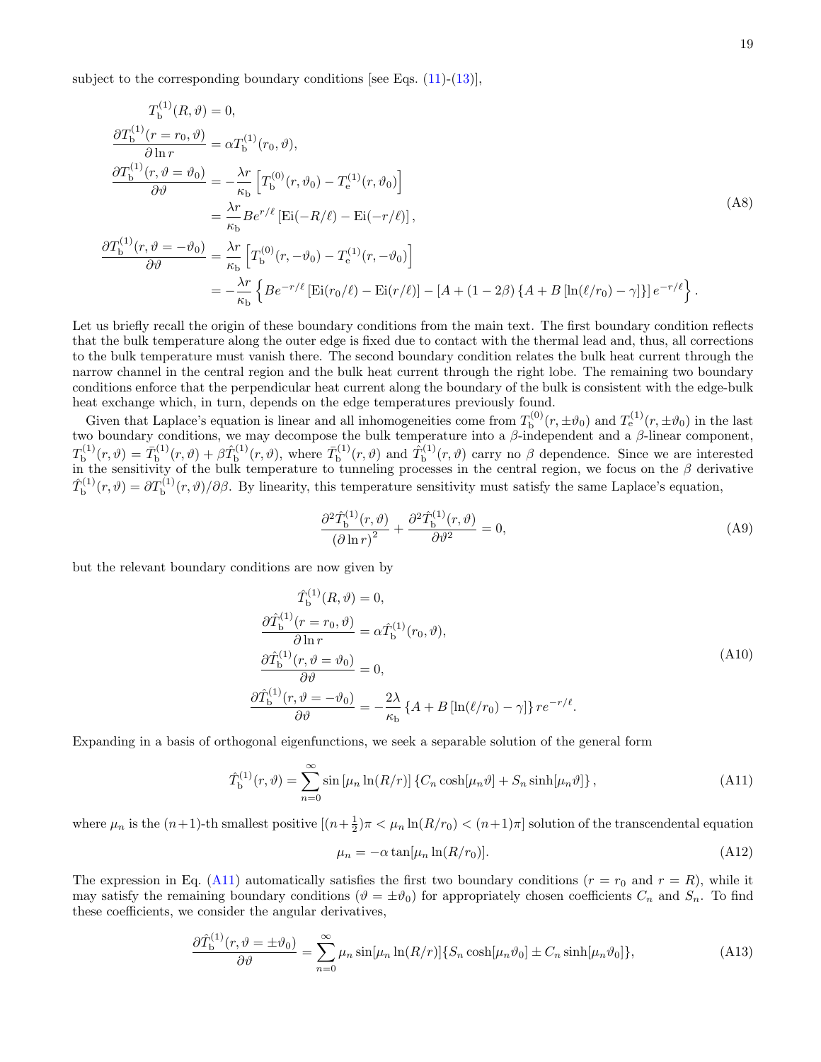subject to the corresponding boundary conditions [see Eqs.  $(11)-(13)$  $(11)-(13)$ ],

$$
T_{\rm b}^{(1)}(R,\vartheta) = 0,
$$
  
\n
$$
\frac{\partial T_{\rm b}^{(1)}(r=r_0,\vartheta)}{\partial \ln r} = \alpha T_{\rm b}^{(1)}(r_0,\vartheta),
$$
  
\n
$$
\frac{\partial T_{\rm b}^{(1)}(r,\vartheta=\vartheta_0)}{\partial \vartheta} = -\frac{\lambda r}{\kappa_{\rm b}} \left[ T_{\rm b}^{(0)}(r,\vartheta_0) - T_{\rm e}^{(1)}(r,\vartheta_0) \right]
$$
  
\n
$$
= \frac{\lambda r}{\kappa_{\rm b}} B e^{r/\ell} \left[ \text{Ei}(-R/\ell) - \text{Ei}(-r/\ell) \right],
$$
  
\n
$$
\frac{\partial T_{\rm b}^{(1)}(r,\vartheta=-\vartheta_0)}{\partial \vartheta} = \frac{\lambda r}{\kappa_{\rm b}} \left[ T_{\rm b}^{(0)}(r,-\vartheta_0) - T_{\rm e}^{(1)}(r,-\vartheta_0) \right]
$$
  
\n
$$
= -\frac{\lambda r}{\kappa_{\rm b}} \left\{ B e^{-r/\ell} \left[ \text{Ei}(r_0/\ell) - \text{Ei}(r/\ell) \right] - \left[ A + (1-2\beta) \left\{ A + B \left[ \ln(\ell/r_0) - \gamma \right] \right\} \right] e^{-r/\ell} \right\}.
$$

Let us briefly recall the origin of these boundary conditions from the main text. The first boundary condition reflects that the bulk temperature along the outer edge is fixed due to contact with the thermal lead and, thus, all corrections to the bulk temperature must vanish there. The second boundary condition relates the bulk heat current through the narrow channel in the central region and the bulk heat current through the right lobe. The remaining two boundary conditions enforce that the perpendicular heat current along the boundary of the bulk is consistent with the edge-bulk heat exchange which, in turn, depends on the edge temperatures previously found.

Given that Laplace's equation is linear and all inhomogeneities come from  $T_{\rm b}^{(0)}$  $\mathcal{L}_{\text{b}}^{(0)}(r, \pm \vartheta_0)$  and  $T_{\text{e}}^{(1)}(r, \pm \vartheta_0)$  in the last two boundary conditions, we may decompose the bulk temperature into a  $\beta$ -independent and a  $\beta$ -linear component,  $T_\mathrm{h}^{(1)}$  $\bar{T}_{\rm b}^{(1)}(r,\vartheta)=\bar{T}_{\rm b}^{(1)}$  $\hat{b}_{\text{b}}^{(1)}(r,\vartheta)+\beta \hat{T}_{\text{b}}^{(1)}$  $\bar{T}_{\rm b}^{(1)}(r,\vartheta)$ , where  $\bar{T}_{\rm b}^{(1)}$  $\hat{T}_{\text{b}}^{(1)}(r,\vartheta)$  and  $\hat{T}_{\text{b}}^{(1)}$  $\mathcal{L}_{\mathbf{b}}^{(1)}(r,\vartheta)$  carry no  $\beta$  dependence. Since we are interested in the sensitivity of the bulk temperature to tunneling processes in the central region, we focus on the  $\beta$  derivative  $\hat T^{(1)}_{\rm h}$  $b_{\rm b}^{(1)}(r,\vartheta) = \partial T_{\rm b}^{(1)}(r,\vartheta)/\partial \beta$ . By linearity, this temperature sensitivity must satisfy the same Laplace's equation,

$$
\frac{\partial^2 \hat{T}_{\mathbf{b}}^{(1)}(r,\vartheta)}{\left(\partial \ln r\right)^2} + \frac{\partial^2 \hat{T}_{\mathbf{b}}^{(1)}(r,\vartheta)}{\partial \vartheta^2} = 0,\tag{A9}
$$

but the relevant boundary conditions are now given by

<span id="page-18-1"></span>
$$
\hat{T}_{\mathbf{b}}^{(1)}(R,\vartheta) = 0,
$$
\n
$$
\frac{\partial \hat{T}_{\mathbf{b}}^{(1)}(r = r_0, \vartheta)}{\partial \ln r} = \alpha \hat{T}_{\mathbf{b}}^{(1)}(r_0, \vartheta),
$$
\n
$$
\frac{\partial \hat{T}_{\mathbf{b}}^{(1)}(r, \vartheta = \vartheta_0)}{\partial \vartheta} = 0,
$$
\n
$$
\frac{\partial \hat{T}_{\mathbf{b}}^{(1)}(r, \vartheta = -\vartheta_0)}{\partial \vartheta} = -\frac{2\lambda}{\kappa_{\mathbf{b}}} \{A + B[\ln(\ell/r_0) - \gamma]\} r e^{-r/\ell}.
$$
\n(A10)

Expanding in a basis of orthogonal eigenfunctions, we seek a separable solution of the general form

<span id="page-18-0"></span>
$$
\hat{T}_{\mathbf{b}}^{(1)}(r,\vartheta) = \sum_{n=0}^{\infty} \sin\left[\mu_n \ln(R/r)\right] \left\{ C_n \cosh\left[\mu_n \vartheta\right] + S_n \sinh\left[\mu_n \vartheta\right] \right\},\tag{A11}
$$

where  $\mu_n$  is the  $(n+1)$ -th smallest positive  $[(n+\frac{1}{2})\pi < \mu_n \ln(R/r_0) < (n+1)\pi]$  solution of the transcendental equation

<span id="page-18-2"></span>
$$
\mu_n = -\alpha \tan[\mu_n \ln(R/r_0)]. \tag{A12}
$$

The expression in Eq. [\(A11\)](#page-18-0) automatically satisfies the first two boundary conditions ( $r = r_0$  and  $r = R$ ), while it may satisfy the remaining boundary conditions ( $\vartheta = \pm \vartheta_0$ ) for appropriately chosen coefficients  $C_n$  and  $S_n$ . To find these coefficients, we consider the angular derivatives,

$$
\frac{\partial \hat{T}_{\mathbf{b}}^{(1)}(r,\vartheta = \pm \vartheta_0)}{\partial \vartheta} = \sum_{n=0}^{\infty} \mu_n \sin[\mu_n \ln(R/r)] \{ S_n \cosh[\mu_n \vartheta_0] \pm C_n \sinh[\mu_n \vartheta_0] \},\tag{A13}
$$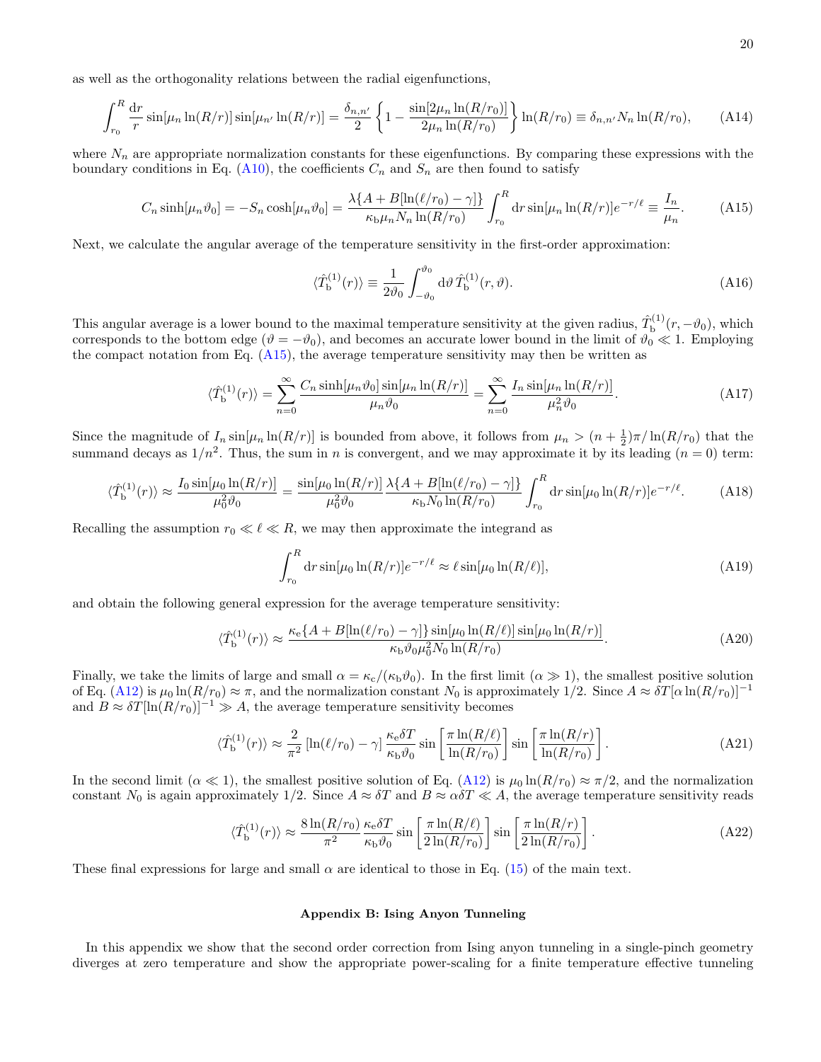as well as the orthogonality relations between the radial eigenfunctions,

$$
\int_{r_0}^R \frac{dr}{r} \sin[\mu_n \ln(R/r)] \sin[\mu_{n'} \ln(R/r)] = \frac{\delta_{n,n'}}{2} \left\{ 1 - \frac{\sin[2\mu_n \ln(R/r_0)]}{2\mu_n \ln(R/r_0)} \right\} \ln(R/r_0) \equiv \delta_{n,n'} N_n \ln(R/r_0), \tag{A14}
$$

where  $N_n$  are appropriate normalization constants for these eigenfunctions. By comparing these expressions with the boundary conditions in Eq. [\(A10\)](#page-18-1), the coefficients  $C_n$  and  $S_n$  are then found to satisfy

<span id="page-19-1"></span>
$$
C_n \sinh[\mu_n \vartheta_0] = -S_n \cosh[\mu_n \vartheta_0] = \frac{\lambda \{A + B[\ln(\ell/r_0) - \gamma]\}}{\kappa_b \mu_n N_n \ln(R/r_0)} \int_{r_0}^R dr \sin[\mu_n \ln(R/r)] e^{-r/\ell} \equiv \frac{I_n}{\mu_n}.
$$
 (A15)

Next, we calculate the angular average of the temperature sensitivity in the first-order approximation:

$$
\langle \hat{T}_{\mathbf{b}}^{(1)}(r) \rangle \equiv \frac{1}{2\vartheta_0} \int_{-\vartheta_0}^{\vartheta_0} d\vartheta \, \hat{T}_{\mathbf{b}}^{(1)}(r,\vartheta). \tag{A16}
$$

This angular average is a lower bound to the maximal temperature sensitivity at the given radius,  $\hat{T}_{\text{b}}^{(1)}$  $\phi_{\rm b}^{(1)}(r,-\vartheta_0)$ , which corresponds to the bottom edge  $(\vartheta = -\vartheta_0)$ , and becomes an accurate lower bound in the limit of  $\vartheta_0 \ll 1$ . Employing the compact notation from Eq.  $(A15)$ , the average temperature sensitivity may then be written as

$$
\langle \hat{T}_{\mathbf{b}}^{(1)}(r) \rangle = \sum_{n=0}^{\infty} \frac{C_n \sinh[\mu_n \vartheta_0] \sin[\mu_n \ln(R/r)]}{\mu_n \vartheta_0} = \sum_{n=0}^{\infty} \frac{I_n \sin[\mu_n \ln(R/r)]}{\mu_n^2 \vartheta_0}.
$$
 (A17)

Since the magnitude of  $I_n \sin[\mu_n \ln(R/r)]$  is bounded from above, it follows from  $\mu_n > (n + \frac{1}{2})\pi/\ln(R/r_0)$  that the summand decays as  $1/n^2$ . Thus, the sum in n is convergent, and we may approximate it by its leading  $(n = 0)$  term:

$$
\langle \hat{T}_{\rm b}^{(1)}(r) \rangle \approx \frac{I_0 \sin[\mu_0 \ln(R/r)]}{\mu_0^2 \vartheta_0} = \frac{\sin[\mu_0 \ln(R/r)]}{\mu_0^2 \vartheta_0} \frac{\lambda \{A + B[\ln(\ell/r_0) - \gamma]\}}{\kappa_{\rm b} N_0 \ln(R/r_0)} \int_{r_0}^R dr \sin[\mu_0 \ln(R/r)] e^{-r/\ell}.\tag{A18}
$$

Recalling the assumption  $r_0 \ll \ell \ll R$ , we may then approximate the integrand as

$$
\int_{r_0}^R dr \sin[\mu_0 \ln(R/r)] e^{-r/\ell} \approx \ell \sin[\mu_0 \ln(R/\ell)],\tag{A19}
$$

and obtain the following general expression for the average temperature sensitivity:

$$
\langle \hat{T}_{\rm b}^{(1)}(r) \rangle \approx \frac{\kappa_{\rm e} \{ A + B[\ln(\ell/r_0) - \gamma] \} \sin[\mu_0 \ln(R/\ell)] \sin[\mu_0 \ln(R/r)]}{\kappa_{\rm b} \vartheta_0 \mu_0^2 N_0 \ln(R/r_0)}.
$$
(A20)

Finally, we take the limits of large and small  $\alpha = \kappa_c/(\kappa_b \vartheta_0)$ . In the first limit  $(\alpha \gg 1)$ , the smallest positive solution of Eq. [\(A12\)](#page-18-2) is  $\mu_0 \ln(R/r_0) \approx \pi$ , and the normalization constant N<sub>0</sub> is approximately 1/2. Since  $A \approx \delta T [\alpha \ln(R/r_0)]^{-1}$ and  $B \approx \delta T[\ln(R/r_0)]^{-1} \gg A$ , the average temperature sensitivity becomes

$$
\langle \hat{T}_{\rm b}^{(1)}(r) \rangle \approx \frac{2}{\pi^2} \left[ \ln(\ell/r_0) - \gamma \right] \frac{\kappa_{\rm e} \delta T}{\kappa_{\rm b} \vartheta_0} \sin \left[ \frac{\pi \ln(R/\ell)}{\ln(R/r_0)} \right] \sin \left[ \frac{\pi \ln(R/r)}{\ln(R/r_0)} \right]. \tag{A21}
$$

In the second limit  $(\alpha \ll 1)$ , the smallest positive solution of Eq. [\(A12\)](#page-18-2) is  $\mu_0 \ln(R/r_0) \approx \pi/2$ , and the normalization constant  $N_0$  is again approximately 1/2. Since  $A \approx \delta T$  and  $B \approx \alpha \delta T \ll A$ , the average temperature sensitivity reads

$$
\langle \hat{T}_{\rm b}^{(1)}(r) \rangle \approx \frac{8\ln(R/r_0)}{\pi^2} \frac{\kappa_{\rm e} \delta T}{\kappa_{\rm b} \vartheta_0} \sin\left[\frac{\pi \ln(R/\ell)}{2\ln(R/r_0)}\right] \sin\left[\frac{\pi \ln(R/r)}{2\ln(R/r_0)}\right]. \tag{A22}
$$

These final expressions for large and small  $\alpha$  are identical to those in Eq. [\(15\)](#page-5-5) of the main text.

### <span id="page-19-0"></span>Appendix B: Ising Anyon Tunneling

In this appendix we show that the second order correction from Ising anyon tunneling in a single-pinch geometry diverges at zero temperature and show the appropriate power-scaling for a finite temperature effective tunneling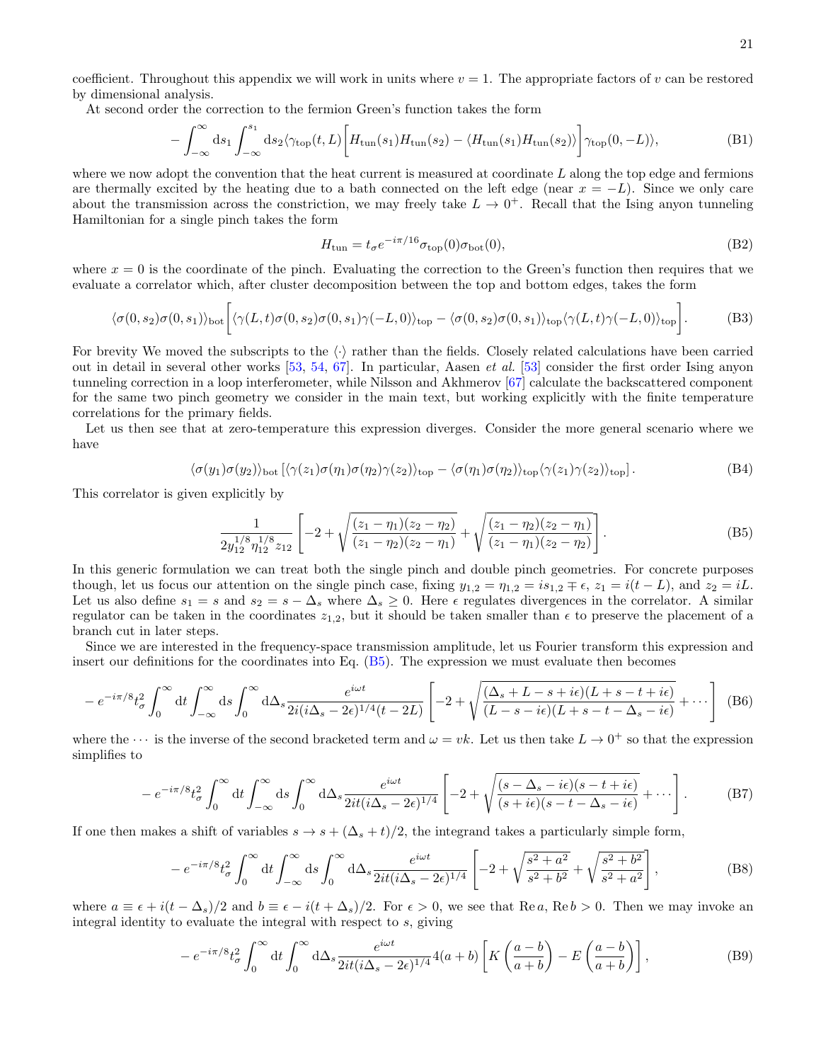coefficient. Throughout this appendix we will work in units where  $v = 1$ . The appropriate factors of v can be restored by dimensional analysis.

At second order the correction to the fermion Green's function takes the form

$$
-\int_{-\infty}^{\infty} ds_1 \int_{-\infty}^{s_1} ds_2 \langle \gamma_{\text{top}}(t, L) \left[ H_{\text{tun}}(s_1) H_{\text{tun}}(s_2) - \langle H_{\text{tun}}(s_1) H_{\text{tun}}(s_2) \rangle \right] \gamma_{\text{top}}(0, -L) \rangle, \tag{B1}
$$

where we now adopt the convention that the heat current is measured at coordinate  $L$  along the top edge and fermions are thermally excited by the heating due to a bath connected on the left edge (near  $x = -L$ ). Since we only care about the transmission across the constriction, we may freely take  $L \to 0^+$ . Recall that the Ising anyon tunneling Hamiltonian for a single pinch takes the form

$$
H_{\text{tun}} = t_{\sigma} e^{-i\pi/16} \sigma_{\text{top}}(0) \sigma_{\text{bot}}(0), \tag{B2}
$$

where  $x = 0$  is the coordinate of the pinch. Evaluating the correction to the Green's function then requires that we evaluate a correlator which, after cluster decomposition between the top and bottom edges, takes the form

$$
\langle \sigma(0,s_2)\sigma(0,s_1)\rangle_{\text{bot}} \left[ \langle \gamma(L,t)\sigma(0,s_2)\sigma(0,s_1)\gamma(-L,0)\rangle_{\text{top}} - \langle \sigma(0,s_2)\sigma(0,s_1)\rangle_{\text{top}} \langle \gamma(L,t)\gamma(-L,0)\rangle_{\text{top}} \right].
$$
 (B3)

For brevity We moved the subscripts to the  $\langle \cdot \rangle$  rather than the fields. Closely related calculations have been carried out in detail in several other works [\[53,](#page-16-9) [54,](#page-16-10) [67\]](#page-16-21). In particular, Aasen et al. [\[53\]](#page-16-9) consider the first order Ising anyon tunneling correction in a loop interferometer, while Nilsson and Akhmerov [\[67\]](#page-16-21) calculate the backscattered component for the same two pinch geometry we consider in the main text, but working explicitly with the finite temperature correlations for the primary fields.

Let us then see that at zero-temperature this expression diverges. Consider the more general scenario where we have

$$
\langle \sigma(y_1)\sigma(y_2) \rangle_{\text{bot}} \left[ \langle \gamma(z_1)\sigma(\eta_1)\sigma(\eta_2)\gamma(z_2) \rangle_{\text{top}} - \langle \sigma(\eta_1)\sigma(\eta_2) \rangle_{\text{top}} \langle \gamma(z_1)\gamma(z_2) \rangle_{\text{top}} \right]. \tag{B4}
$$

This correlator is given explicitly by

<span id="page-20-0"></span>
$$
\frac{1}{2y_{12}^{1/8}\eta_{12}^{1/8}z_{12}}\left[-2+\sqrt{\frac{(z_1-\eta_1)(z_2-\eta_2)}{(z_1-\eta_2)(z_2-\eta_1)}}+\sqrt{\frac{(z_1-\eta_2)(z_2-\eta_1)}{(z_1-\eta_1)(z_2-\eta_2)}}\right].
$$
\n(B5)

In this generic formulation we can treat both the single pinch and double pinch geometries. For concrete purposes though, let us focus our attention on the single pinch case, fixing  $y_{1,2} = \eta_{1,2} = i s_{1,2} \mp \epsilon$ ,  $z_1 = i(t - L)$ , and  $z_2 = iL$ . Let us also define  $s_1 = s$  and  $s_2 = s - \Delta_s$  where  $\Delta_s \geq 0$ . Here  $\epsilon$  regulates divergences in the correlator. A similar regulator can be taken in the coordinates  $z_{1,2}$ , but it should be taken smaller than  $\epsilon$  to preserve the placement of a branch cut in later steps.

Since we are interested in the frequency-space transmission amplitude, let us Fourier transform this expression and insert our definitions for the coordinates into Eq. [\(B5\)](#page-20-0). The expression we must evaluate then becomes

$$
-e^{-i\pi/8}t_{\sigma}^{2}\int_{0}^{\infty}dt\int_{-\infty}^{\infty}ds\int_{0}^{\infty}d\Delta_{s}\frac{e^{i\omega t}}{2i(i\Delta_{s}-2\epsilon)^{1/4}(t-2L)}\left[-2+\sqrt{\frac{(\Delta_{s}+L-s+i\epsilon)(L+s-t+i\epsilon)}{(L-s-i\epsilon)(L+s-t-\Delta_{s}-i\epsilon)}}+\cdots\right]
$$
(B6)

where the  $\cdots$  is the inverse of the second bracketed term and  $\omega = vk$ . Let us then take  $L \to 0^+$  so that the expression simplifies to

$$
-e^{-i\pi/8}t_{\sigma}^{2}\int_{0}^{\infty}dt\int_{-\infty}^{\infty}ds\int_{0}^{\infty}d\Delta_{s}\frac{e^{i\omega t}}{2it(i\Delta_{s}-2\epsilon)^{1/4}}\left[-2+\sqrt{\frac{(s-\Delta_{s}-i\epsilon)(s-t+i\epsilon)}{(s+i\epsilon)(s-t-\Delta_{s}-i\epsilon)}}+\cdots\right].
$$
 (B7)

If one then makes a shift of variables  $s \to s + (\Delta_s + t)/2$ , the integrand takes a particularly simple form,

$$
-e^{-i\pi/8}t_{\sigma}^{2}\int_{0}^{\infty}dt\int_{-\infty}^{\infty}ds\int_{0}^{\infty}d\Delta_{s}\frac{e^{i\omega t}}{2it(i\Delta_{s}-2\epsilon)^{1/4}}\left[-2+\sqrt{\frac{s^{2}+a^{2}}{s^{2}+b^{2}}}+\sqrt{\frac{s^{2}+b^{2}}{s^{2}+a^{2}}}\right],
$$
(B8)

where  $a \equiv \epsilon + i(t - \Delta_s)/2$  and  $b \equiv \epsilon - i(t + \Delta_s)/2$ . For  $\epsilon > 0$ , we see that Re a, Re b > 0. Then we may invoke an integral identity to evaluate the integral with respect to s, giving

$$
-e^{-i\pi/8}t_{\sigma}^{2}\int_{0}^{\infty}dt\int_{0}^{\infty}d\Delta_{s}\frac{e^{i\omega t}}{2it(i\Delta_{s}-2\epsilon)^{1/4}}4(a+b)\left[K\left(\frac{a-b}{a+b}\right)-E\left(\frac{a-b}{a+b}\right)\right],
$$
 (B9)